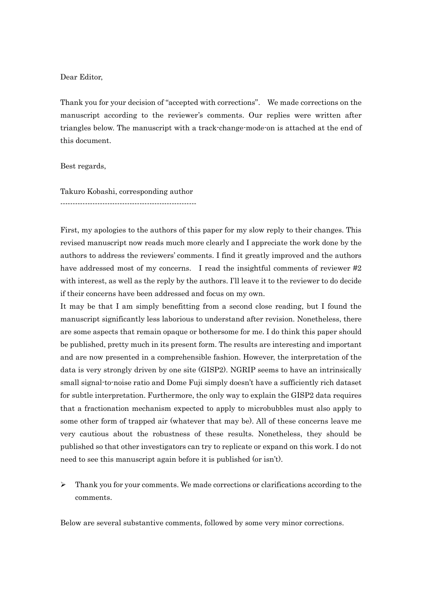# Dear Editor,

Thank you for your decision of "accepted with corrections". We made corrections on the manuscript according to the reviewer's comments. Our replies were written after triangles below. The manuscript with a track-change-mode-on is attached at the end of this document.

## Best regards,

Takuro Kobashi, corresponding author -------------------------------------------------------

First, my apologies to the authors of this paper for my slow reply to their changes. This revised manuscript now reads much more clearly and I appreciate the work done by the authors to address the reviewers' comments. I find it greatly improved and the authors have addressed most of my concerns. I read the insightful comments of reviewer #2 with interest, as well as the reply by the authors. I'll leave it to the reviewer to do decide if their concerns have been addressed and focus on my own.

It may be that I am simply benefitting from a second close reading, but I found the manuscript significantly less laborious to understand after revision. Nonetheless, there are some aspects that remain opaque or bothersome for me. I do think this paper should be published, pretty much in its present form. The results are interesting and important and are now presented in a comprehensible fashion. However, the interpretation of the data is very strongly driven by one site (GISP2). NGRIP seems to have an intrinsically small signal-to-noise ratio and Dome Fuji simply doesn't have a sufficiently rich dataset for subtle interpretation. Furthermore, the only way to explain the GISP2 data requires that a fractionation mechanism expected to apply to microbubbles must also apply to some other form of trapped air (whatever that may be). All of these concerns leave me very cautious about the robustness of these results. Nonetheless, they should be published so that other investigators can try to replicate or expand on this work. I do not need to see this manuscript again before it is published (or isn't).

 $\triangleright$  Thank you for your comments. We made corrections or clarifications according to the comments.

Below are several substantive comments, followed by some very minor corrections.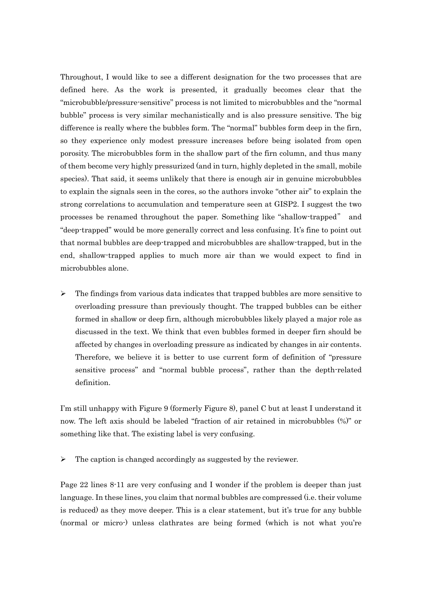Throughout, I would like to see a different designation for the two processes that are defined here. As the work is presented, it gradually becomes clear that the "microbubble/pressure-sensitive" process is not limited to microbubbles and the "normal bubble" process is very similar mechanistically and is also pressure sensitive. The big difference is really where the bubbles form. The "normal" bubbles form deep in the firn, so they experience only modest pressure increases before being isolated from open porosity. The microbubbles form in the shallow part of the firn column, and thus many of them become very highly pressurized (and in turn, highly depleted in the small, mobile species). That said, it seems unlikely that there is enough air in genuine microbubbles to explain the signals seen in the cores, so the authors invoke "other air" to explain the strong correlations to accumulation and temperature seen at GISP2. I suggest the two processes be renamed throughout the paper. Something like "shallow-trapped" and "deep-trapped" would be more generally correct and less confusing. It's fine to point out that normal bubbles are deep-trapped and microbubbles are shallow-trapped, but in the end, shallow-trapped applies to much more air than we would expect to find in microbubbles alone.

 $\triangleright$  The findings from various data indicates that trapped bubbles are more sensitive to overloading pressure than previously thought. The trapped bubbles can be either formed in shallow or deep firn, although microbubbles likely played a major role as discussed in the text. We think that even bubbles formed in deeper firn should be affected by changes in overloading pressure as indicated by changes in air contents. Therefore, we believe it is better to use current form of definition of "pressure sensitive process" and "normal bubble process", rather than the depth-related definition.

I'm still unhappy with Figure 9 (formerly Figure 8), panel C but at least I understand it now. The left axis should be labeled "fraction of air retained in microbubbles (%)" or something like that. The existing label is very confusing.

 $\triangleright$  The caption is changed accordingly as suggested by the reviewer.

Page 22 lines 8-11 are very confusing and I wonder if the problem is deeper than just language. In these lines, you claim that normal bubbles are compressed (i.e. their volume is reduced) as they move deeper. This is a clear statement, but it's true for any bubble (normal or micro-) unless clathrates are being formed (which is not what you're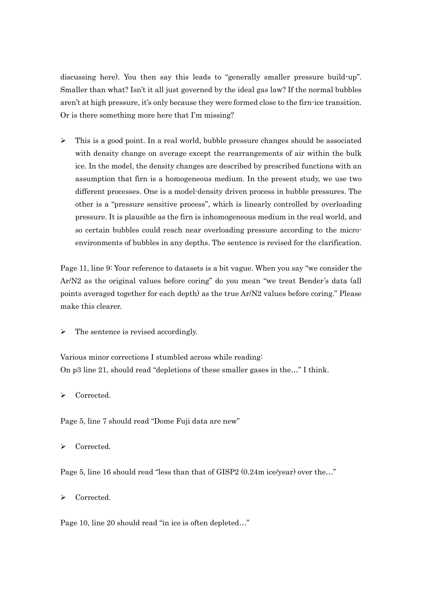discussing here). You then say this leads to "generally smaller pressure build-up". Smaller than what? Isn't it all just governed by the ideal gas law? If the normal bubbles aren't at high pressure, it's only because they were formed close to the firn-ice transition. Or is there something more here that I'm missing?

 $\triangleright$  This is a good point. In a real world, bubble pressure changes should be associated with density change on average except the rearrangements of air within the bulk ice. In the model, the density changes are described by prescribed functions with an assumption that firn is a homogeneous medium. In the present study, we use two different processes. One is a model-density driven process in bubble pressures. The other is a "pressure sensitive process", which is linearly controlled by overloading pressure. It is plausible as the firn is inhomogeneous medium in the real world, and so certain bubbles could reach near overloading pressure according to the microenvironments of bubbles in any depths. The sentence is revised for the clarification.

Page 11, line 9: Your reference to datasets is a bit vague. When you say "we consider the Ar/N2 as the original values before coring" do you mean "we treat Bender's data (all points averaged together for each depth) as the true Ar/N2 values before coring." Please make this clearer.

 $\triangleright$  The sentence is revised accordingly.

Various minor corrections I stumbled across while reading: On p3 line 21, should read "depletions of these smaller gases in the…" I think.

> Corrected.

Page 5, line 7 should read "Dome Fuji data are new"

> Corrected.

Page 5, line 16 should read "less than that of GISP2 (0.24m ice/year) over the…"

> Corrected.

Page 10, line 20 should read "in ice is often depleted…"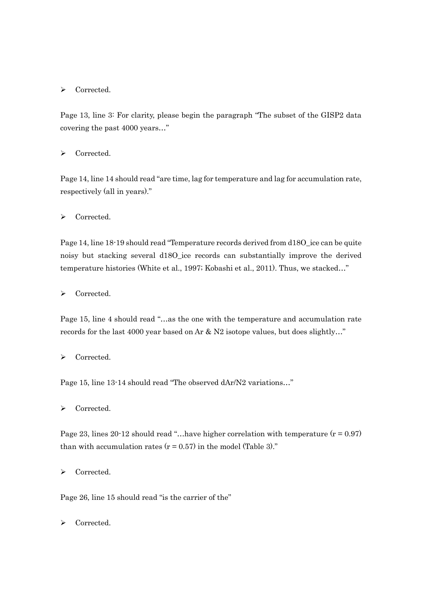# > Corrected.

Page 13, line 3: For clarity, please begin the paragraph "The subset of the GISP2 data covering the past 4000 years…"

> Corrected.

Page 14, line 14 should read "are time, lag for temperature and lag for accumulation rate, respectively (all in years)."

> Corrected.

Page 14, line 18-19 should read "Temperature records derived from d18O\_ice can be quite noisy but stacking several d18O\_ice records can substantially improve the derived temperature histories (White et al., 1997; Kobashi et al., 2011). Thus, we stacked…"

> Corrected.

Page 15, line 4 should read "…as the one with the temperature and accumulation rate records for the last 4000 year based on Ar & N2 isotope values, but does slightly…"

> Corrected.

Page 15, line 13-14 should read "The observed dAr/N2 variations…"

> Corrected.

Page 23, lines 20-12 should read "...have higher correlation with temperature  $(r = 0.97)$ than with accumulation rates  $(r = 0.57)$  in the model (Table 3)."

> Corrected.

Page 26, line 15 should read "is the carrier of the"

Corrected.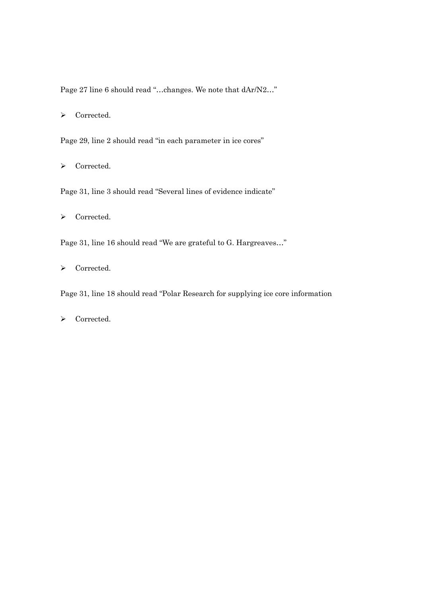Page 27 line 6 should read "…changes. We note that dAr/N2…"

> Corrected.

Page 29, line 2 should read "in each parameter in ice cores"

> Corrected.

Page 31, line 3 should read "Several lines of evidence indicate"

> Corrected.

Page 31, line 16 should read "We are grateful to G. Hargreaves…"

> Corrected.

Page 31, line 18 should read "Polar Research for supplying ice core information

> Corrected.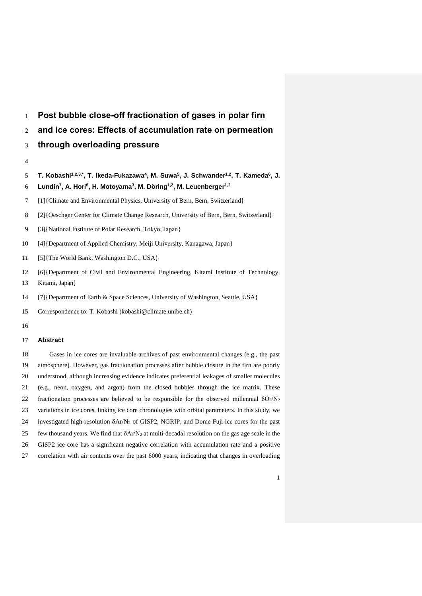# **Post bubble close-off fractionation of gases in polar firn**

- **and ice cores: Effects of accumulation rate on permeation**
- **through overloading pressure**
- 
- **T. Kobashi1,2,3,\* , T. Ikeda-Fukazawa<sup>4</sup> , M. Suwa<sup>5</sup> , J. Schwander1,2, T. Kameda<sup>6</sup> , J.**
- **Lundin<sup>7</sup> , A. Hori<sup>6</sup> , H. Motoyama<sup>3</sup> , M. Döring1,2 , M. Leuenberger1,2**
- [1]{Climate and Environmental Physics, University of Bern, Bern, Switzerland}
- [2]{Oeschger Center for Climate Change Research, University of Bern, Bern, Switzerland}
- [3]{National Institute of Polar Research, Tokyo, Japan}
- [4]{Department of Applied Chemistry, Meiji University, Kanagawa, Japan}
- [5]{The World Bank, Washington D.C., USA}
- [6]{Department of Civil and Environmental Engineering, Kitami Institute of Technology,
- Kitami, Japan}
- [7]{Department of Earth & Space Sciences, University of Washington, Seattle, USA}
- Correspondence to: T. Kobashi (kobashi@climate.unibe.ch)
- 

## **Abstract**

 Gases in ice cores are invaluable archives of past environmental changes (e.g., the past atmosphere). However, gas fractionation processes after bubble closure in the firn are poorly understood, although increasing evidence indicates preferential leakages of smaller molecules (e.g., neon, oxygen, and argon) from the closed bubbles through the ice matrix. These 22 fractionation processes are believed to be responsible for the observed millennial  $\delta O_2/N_2$  variations in ice cores, linking ice core chronologies with orbital parameters. In this study, we 24 investigated high-resolution  $\delta A r/N_2$  of GISP2, NGRIP, and Dome Fuji ice cores for the past 25 few thousand years. We find that  $\delta A r/N_2$  at multi-decadal resolution on the gas age scale in the GISP2 ice core has a significant negative correlation with accumulation rate and a positive correlation with air contents over the past 6000 years, indicating that changes in overloading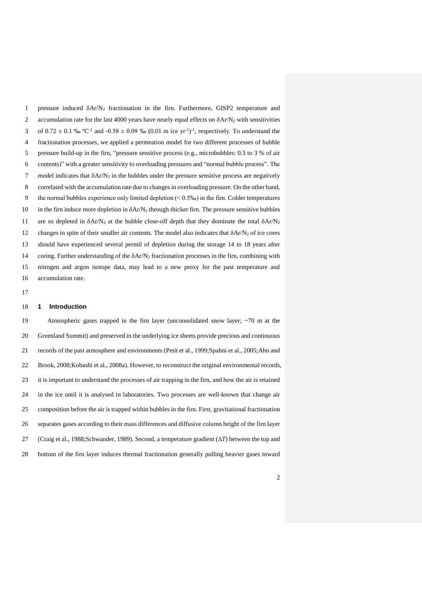pressure induced Ar/N<sup>2</sup> fractionation in the firn. Furthermore, GISP2 temperature and 2 accumulation rate for the last 4000 years have nearly equal effects on  $\delta$ Ar/N<sub>2</sub> with sensitivities 3 of  $0.72 \pm 0.1$  % °C<sup>-1</sup> and -0.58  $\pm 0.09$  % (0.01 m ice yr<sup>-1</sup>)<sup>-1</sup>, respectively. To understand the fractionation processes, we applied a permeation model for two different processes of bubble pressure build-up in the firn, "pressure sensitive process (e.g., microbubbles: 0.3 to 3 % of air contents)" with a greater sensitivity to overloading pressures and "normal bubble process". The 7 model indicates that  $\delta Ar/N_2$  in the bubbles under the pressure sensitive process are negatively correlated with the accumulation rate due to changes in overloading pressure. On the other hand, 9 the normal bubbles experience only limited depletion (< 0.5‰) in the firn. Colder temperatures 10 in the firn induce more depletion in  $\delta A r/N_2$  through thicker firn. The pressure sensitive bubbles 11 are so depleted in  $\delta A r/N_2$  at the bubble close-off depth that they dominate the total  $\delta A r/N_2$ 12 changes in spite of their smaller air contents. The model also indicates that  $\delta A r/N_2$  of ice cores should have experienced several permil of depletion during the storage 14 to 18 years after 14 coring. Further understanding of the  $\delta A r/N_2$  fractionation processes in the firn, combining with nitrogen and argon isotope data, may lead to a new proxy for the past temperature and accumulation rate.

## **1 Introduction**

 Atmospheric gases trapped in the firn layer (unconsolidated snow layer; ~70 m at the Greenland Summit) and preserved in the underlying ice sheets provide precious and continuous records of the past atmosphere and environments (Petit et al., 1999;Spahni et al., 2005;Ahn and Brook, 2008;Kobashi et al., 2008a). However, to reconstruct the original environmental records, it is important to understand the processes of air trapping in the firn, and how the air is retained in the ice until it is analysed in laboratories. Two processes are well-known that change air composition before the air is trapped within bubbles in the firn. First, gravitational fractionation separates gases according to their mass differences and diffusive column height of the firn layer (Craig et al., 1988;Schwander, 1989). Second, a temperature gradient (*T*) between the top and bottom of the firn layer induces thermal fractionation generally pulling heavier gases toward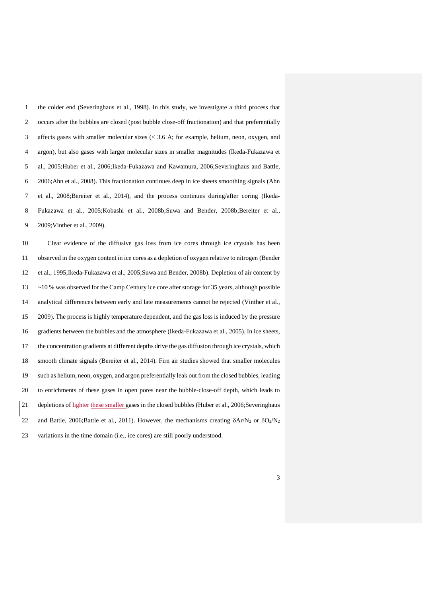the colder end (Severinghaus et al., 1998). In this study, we investigate a third process that occurs after the bubbles are closed (post bubble close-off fractionation) and that preferentially 3 affects gases with smaller molecular sizes  $(< 3.6 \text{ Å}$ ; for example, helium, neon, oxygen, and argon), but also gases with larger molecular sizes in smaller magnitudes (Ikeda-Fukazawa et al., 2005;Huber et al., 2006;Ikeda-Fukazawa and Kawamura, 2006;Severinghaus and Battle, 2006;Ahn et al., 2008). This fractionation continues deep in ice sheets smoothing signals (Ahn et al., 2008;Bereiter et al., 2014), and the process continues during/after coring (Ikeda- Fukazawa et al., 2005;Kobashi et al., 2008b;Suwa and Bender, 2008b;Bereiter et al., 2009;Vinther et al., 2009).

 Clear evidence of the diffusive gas loss from ice cores through ice crystals has been observed in the oxygen content in ice cores as a depletion of oxygen relative to nitrogen (Bender et al., 1995;Ikeda-Fukazawa et al., 2005;Suwa and Bender, 2008b). Depletion of air content by ~10 % was observed for the Camp Century ice core after storage for 35 years, although possible analytical differences between early and late measurements cannot be rejected (Vinther et al., 2009). The process is highly temperature dependent, and the gas loss is induced by the pressure gradients between the bubbles and the atmosphere (Ikeda-Fukazawa et al., 2005). In ice sheets, the concentration gradients at different depths drive the gas diffusion through ice crystals, which smooth climate signals (Bereiter et al., 2014). Firn air studies showed that smaller molecules such as helium, neon, oxygen, and argon preferentially leak out from the closed bubbles, leading to enrichments of these gases in open pores near the bubble-close-off depth, which leads to 21 depletions of lighter these smaller gases in the closed bubbles (Huber et al., 2006;Severinghaus 22 and Battle, 2006;Battle et al., 2011). However, the mechanisms creating  $\delta A r/N_2$  or  $\delta O_2/N_2$ variations in the time domain (i.e., ice cores) are still poorly understood.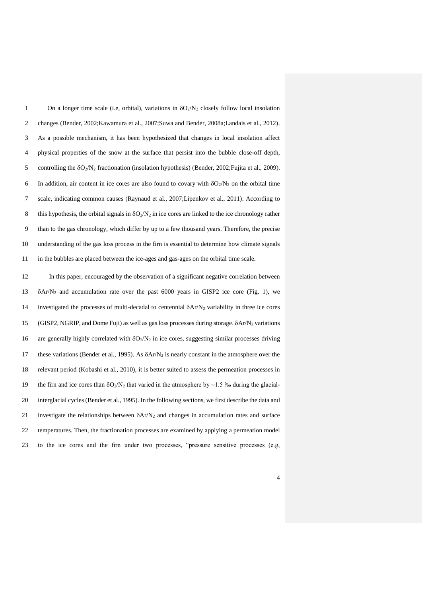1 On a longer time scale (i.e, orbital), variations in  $\delta O_2/N_2$  closely follow local insolation changes (Bender, 2002;Kawamura et al., 2007;Suwa and Bender, 2008a;Landais et al., 2012). As a possible mechanism, it has been hypothesized that changes in local insolation affect physical properties of the snow at the surface that persist into the bubble close-off depth, controlling the O2/N<sup>2</sup> fractionation (insolation hypothesis) (Bender, 2002;Fujita et al., 2009). 6 In addition, air content in ice cores are also found to covary with  $\delta O_2/N_2$  on the orbital time scale, indicating common causes (Raynaud et al., 2007;Lipenkov et al., 2011). According to 8 this hypothesis, the orbital signals in  $\delta O_2/N_2$  in ice cores are linked to the ice chronology rather than to the gas chronology, which differ by up to a few thousand years. Therefore, the precise understanding of the gas loss process in the firn is essential to determine how climate signals in the bubbles are placed between the ice-ages and gas-ages on the orbital time scale.

 In this paper, encouraged by the observation of a significant negative correlation between 13  $\delta$ Ar/N<sub>2</sub> and accumulation rate over the past 6000 years in GISP2 ice core (Fig. 1), we 14 investigated the processes of multi-decadal to centennial  $\delta A r/N_2$  variability in three ice cores (GISP2, NGRIP, and Dome Fuji) as well as gas loss processes during storage. Ar/N<sup>2</sup> variations 16 are generally highly correlated with  $\delta O_2/N_2$  in ice cores, suggesting similar processes driving 17 these variations (Bender et al., 1995). As  $\delta Ar/N_2$  is nearly constant in the atmosphere over the relevant period (Kobashi et al., 2010), it is better suited to assess the permeation processes in 19 the firn and ice cores than  $\delta O_2/N_2$  that varied in the atmosphere by ~1.5 ‰ during the glacial- interglacial cycles (Bender et al., 1995). In the following sections, we first describe the data and 21 investigate the relationships between  $\delta A r/N<sub>2</sub>$  and changes in accumulation rates and surface temperatures. Then, the fractionation processes are examined by applying a permeation model to the ice cores and the firn under two processes, "pressure sensitive processes (e.g,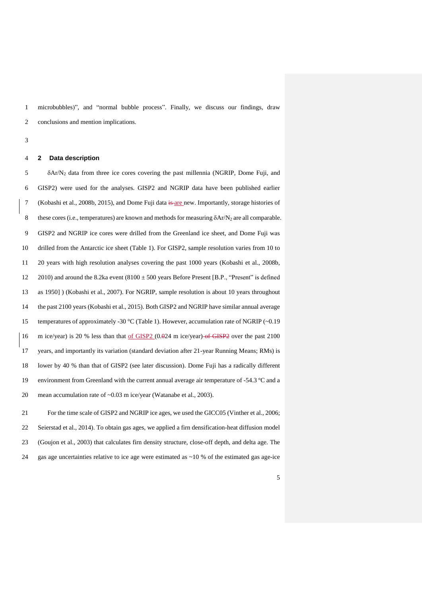microbubbles)", and "normal bubble process". Finally, we discuss our findings, draw conclusions and mention implications.

#### **2 Data description**

  $\delta$ Ar/N<sub>2</sub> data from three ice cores covering the past millennia (NGRIP, Dome Fuji, and GISP2) were used for the analyses. GISP2 and NGRIP data have been published earlier (Kobashi et al., 2008b, 2015), and Dome Fuji data is are new. Importantly, storage histories of 8 these cores (i.e., temperatures) are known and methods for measuring  $\delta$ Ar/N<sub>2</sub> are all comparable. GISP2 and NGRIP ice cores were drilled from the Greenland ice sheet, and Dome Fuji was drilled from the Antarctic ice sheet (Table 1). For GISP2, sample resolution varies from 10 to 20 years with high resolution analyses covering the past 1000 years (Kobashi et al., 2008b, 12 2010) and around the 8.2ka event  $(8100 \pm 500)$  years Before Present [B.P., "Present" is defined as 1950] ) (Kobashi et al., 2007). For NGRIP, sample resolution is about 10 years throughout the past 2100 years (Kobashi et al., 2015). Both GISP2 and NGRIP have similar annual average 15 temperatures of approximately -30 °C (Table 1). However, accumulation rate of NGRIP (~0.19 16 m ice/year) is 20 % less than that of GISP2 (0.024 m ice/year) of GISP2 over the past 2100 years, and importantly its variation (standard deviation after 21-year Running Means; RMs) is lower by 40 % than that of GISP2 (see later discussion). Dome Fuji has a radically different environment from Greenland with the current annual average air temperature of -54.3 ºC and a mean accumulation rate of ~0.03 m ice/year (Watanabe et al., 2003).

 For the time scale of GISP2 and NGRIP ice ages, we used the GICC05 (Vinther et al., 2006; Seierstad et al., 2014). To obtain gas ages, we applied a firn densification-heat diffusion model (Goujon et al., 2003) that calculates firn density structure, close-off depth, and delta age. The 24 gas age uncertainties relative to ice age were estimated as  $\sim$ 10 % of the estimated gas age-ice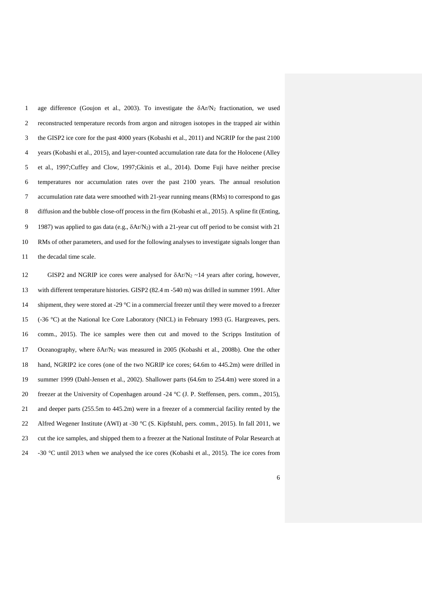1 age difference (Goujon et al., 2003). To investigate the  $\delta A r/N_2$  fractionation, we used reconstructed temperature records from argon and nitrogen isotopes in the trapped air within the GISP2 ice core for the past 4000 years (Kobashi et al., 2011) and NGRIP for the past 2100 years (Kobashi et al., 2015), and layer-counted accumulation rate data for the Holocene (Alley et al., 1997;Cuffey and Clow, 1997;Gkinis et al., 2014). Dome Fuji have neither precise temperatures nor accumulation rates over the past 2100 years. The annual resolution accumulation rate data were smoothed with 21-year running means (RMs) to correspond to gas diffusion and the bubble close-off process in the firn (Kobashi et al., 2015). A spline fit (Enting, 9 1987) was applied to gas data (e.g.,  $\delta$ Ar/N<sub>2</sub>) with a 21-year cut off period to be consist with 21 RMs of other parameters, and used for the following analyses to investigate signals longer than the decadal time scale.

12 GISP2 and NGRIP ice cores were analysed for  $\delta A r/N_2 \sim 14$  years after coring, however, with different temperature histories. GISP2 (82.4 m -540 m) was drilled in summer 1991. After 14 shipment, they were stored at -29 °C in a commercial freezer until they were moved to a freezer (-36 °C) at the National Ice Core Laboratory (NICL) in February 1993 (G. Hargreaves, pers. comm., 2015). The ice samples were then cut and moved to the Scripps Institution of 17 Oceanography, where  $\delta A r / N_2$  was measured in 2005 (Kobashi et al., 2008b). One the other hand, NGRIP2 ice cores (one of the two NGRIP ice cores; 64.6m to 445.2m) were drilled in summer 1999 (Dahl-Jensen et al., 2002). Shallower parts (64.6m to 254.4m) were stored in a freezer at the University of Copenhagen around -24 °C (J. P. Steffensen, pers. comm., 2015), and deeper parts (255.5m to 445.2m) were in a freezer of a commercial facility rented by the 22 Alfred Wegener Institute (AWI) at -30 °C (S. Kipfstuhl, pers. comm., 2015). In fall 2011, we cut the ice samples, and shipped them to a freezer at the National Institute of Polar Research at -30 °C until 2013 when we analysed the ice cores (Kobashi et al., 2015). The ice cores from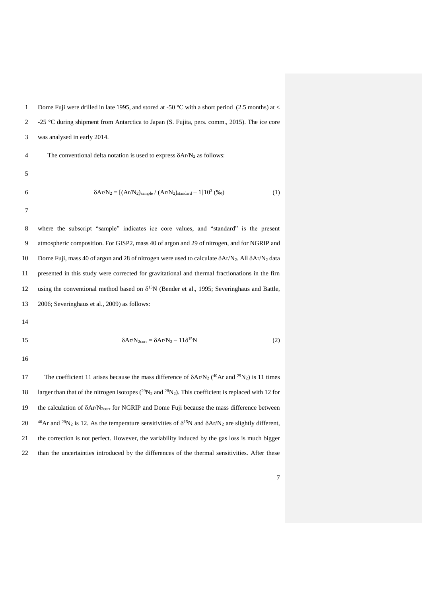1 Dome Fuji were drilled in late 1995, and stored at -50 °C with a short period (2.5 months) at  $\lt$ 2 -25 °C during shipment from Antarctica to Japan (S. Fujita, pers. comm., 2015). The ice core 3 was analysed in early 2014. 4 The conventional delta notation is used to express  $\delta A r/N_2$  as follows: 5 6  $\delta A r/N_2 = [(Ar/N_2)_{sample} / (Ar/N_2)_{standard} - 1]10^3 \, (\%_0)$  (1) 7 8 where the subscript "sample" indicates ice core values, and "standard" is the present 9 atmospheric composition. For GISP2, mass 40 of argon and 29 of nitrogen, and for NGRIP and

10 Dome Fuji, mass 40 of argon and 28 of nitrogen were used to calculate  $\delta$ Ar/N<sub>2</sub>. All  $\delta$ Ar/N<sub>2</sub> data 11 presented in this study were corrected for gravitational and thermal fractionations in the firn 12 using the conventional method based on  $\delta^{15}N$  (Bender et al., 1995; Severinghaus and Battle, 13 2006; Severinghaus et al., 2009) as follows:

14

$$
\delta Ar/N_{2corr} = \delta Ar/N_2 - 11\delta^{15}N\tag{2}
$$

16

17 The coefficient 11 arises because the mass difference of  $\delta$ Ar/N<sub>2</sub> (<sup>40</sup>Ar and <sup>29</sup>N<sub>2</sub>) is 11 times 18 larger than that of the nitrogen isotopes ( $^{29}N_2$  and  $^{28}N_2$ ). This coefficient is replaced with 12 for 19 the calculation of  $\delta A r/N_{2\text{corr}}$  for NGRIP and Dome Fuji because the mass difference between 20  $^{40}$ Ar and <sup>28</sup>N<sub>2</sub> is 12. As the temperature sensitivities of  $\delta^{15}$ N and  $\delta$ Ar/N<sub>2</sub> are slightly different, 21 the correction is not perfect. However, the variability induced by the gas loss is much bigger 22 than the uncertainties introduced by the differences of the thermal sensitivities. After these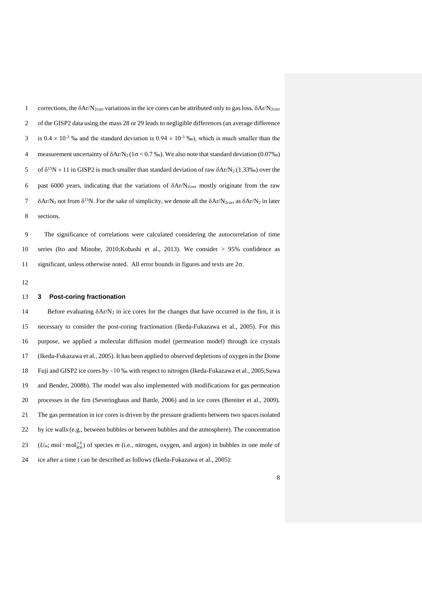1 corrections, the  $\delta$ Ar/N<sub>2corr</sub> variations in the ice cores can be attributed only to gas loss.  $\delta$ Ar/N<sub>2corr</sub> of the GISP2 data using the mass 28 or 29 leads to negligible differences (an average difference  $\frac{3}{10}$  is  $0.4 \times 10^{-3}$  % and the standard deviation is  $0.94 \times 10^{-3}$  % o), which is much smaller than the 4 measurement uncertainty of  $\delta Ar/N_2 (1\sigma < 0.7\%)$ . We also note that standard deviation (0.07‰) 5 of  $\delta^{15}N \times 11$  in GISP2 is much smaller than standard deviation of raw  $\delta A r/N_2$  (1.33‰) over the 6 past 6000 years, indicating that the variations of  $\delta A r/N_{2\text{corr}}$  mostly originate from the raw  $7 \delta A r/N_2$  not from  $\delta^{15}N$ . For the sake of simplicity, we denote all the  $\delta Ar/N_{2\text{corr}}$  as  $\delta Ar/N_2$  in later sections.

 The significance of correlations were calculated considering the autocorrelation of time series (Ito and Minobe, 2010;Kobashi et al., 2013). We consider > 95% confidence as 11 significant, unless otherwise noted. All error bounds in figures and texts are  $2\sigma$ .

#### **3 Post-coring fractionation**

14 Before evaluating  $\delta$ Ar/N<sub>2</sub> in ice cores for the changes that have occurred in the firn, it is necessary to consider the post-coring fractionation (Ikeda-Fukazawa et al., 2005). For this purpose, we applied a molecular diffusion model (permeation model) through ice crystals (Ikeda-Fukazawa et al., 2005). It has been applied to observed depletions of oxygen in the Dome Fuji and GISP2 ice cores by ~10 ‰ with respect to nitrogen (Ikeda-Fukazawa et al., 2005;Suwa and Bender, 2008b). The model was also implemented with modifications for gas permeation processes in the firn (Severinghaus and Battle, 2006) and in ice cores (Bereiter et al., 2009). The gas permeation in ice cores is driven by the pressure gradients between two spaces isolated by ice walls (e.g., between bubbles or between bubbles and the atmosphere). The concentration  $(U_m; \text{mol} \cdot \text{mol}_{ice}^{-1})$  of species *m* (i.e., nitrogen, oxygen, and argon) in bubbles in one mole of ice after a time *t* can be described as follows (Ikeda-Fukazawa et al., 2005):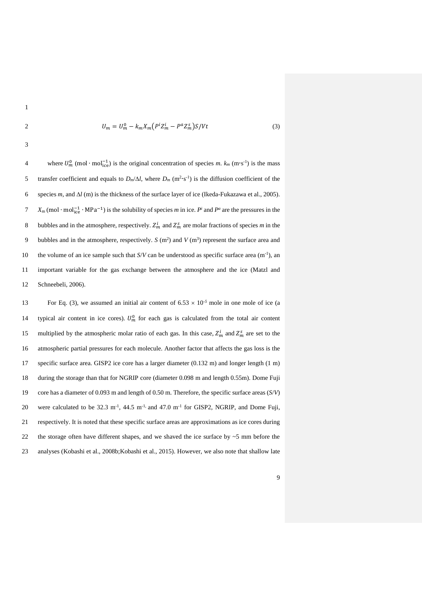$$
1 \\
$$

$$
U_m = U_m^0 - k_m X_m (P^i Z_m^i - P^a Z_m^s) S / Vt \tag{3}
$$

4 where  $U_m^0$  (mol · mol<sup>-1</sup>) is the original concentration of species *m*.  $k_m$  (m·s<sup>-1</sup>) is the mass 5 transfer coefficient and equals to  $D_m/\Delta l$ , where  $D_m$  (m<sup>2</sup>·s<sup>-1</sup>) is the diffusion coefficient of the 6 species  $m$ , and  $\Delta l$  (m) is the thickness of the surface layer of ice (Ikeda-Fukazawa et al., 2005). *X*<sub>m</sub> (mol ⋅ mol<sup>-1</sup>) is the solubility of species *m* in ice. *P*<sup>*i*</sup> and *P*<sup>*a*</sup> are the pressures in the 8 bubbles and in the atmosphere, respectively.  $Z_m^i$  and  $Z_m^s$  are molar fractions of species *m* in the 9 bubbles and in the atmosphere, respectively. *S* (m<sup>2</sup>) and *V* (m<sup>3</sup>) represent the surface area and the volume of an ice sample such that  $S/V$  can be understood as specific surface area  $(m^{-1})$ , an 11 important variable for the gas exchange between the atmosphere and the ice (Matzl and 12 Schneebeli, 2006).

For Eq. (3), we assumed an initial air content of  $6.53 \times 10^{-5}$  mole in one mole of ice (a 14 typical air content in ice cores).  $U_m^0$  for each gas is calculated from the total air content 15 multiplied by the atmospheric molar ratio of each gas. In this case,  $Z_m^i$  and  $Z_m^s$  are set to the 16 atmospheric partial pressures for each molecule. Another factor that affects the gas loss is the 17 specific surface area. GISP2 ice core has a larger diameter (0.132 m) and longer length (1 m) 18 during the storage than that for NGRIP core (diameter 0.098 m and length 0.55m). Dome Fuji 19 core has a diameter of 0.093 m and length of 0.50 m. Therefore, the specific surface areas (*S*/*V*) 20 were calculated to be 32.3  $m^{-1}$ , 44.5  $m^{-1}$ , and 47.0  $m^{-1}$  for GISP2, NGRIP, and Dome Fuji, 21 respectively. It is noted that these specific surface areas are approximations as ice cores during 22 the storage often have different shapes, and we shaved the ice surface by  $\sim$  5 mm before the 23 analyses (Kobashi et al., 2008b;Kobashi et al., 2015). However, we also note that shallow late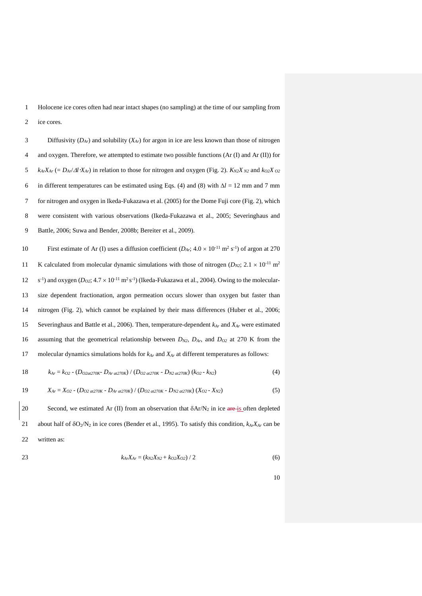Holocene ice cores often had near intact shapes (no sampling) at the time of our sampling from ice cores.

 Diffusivity (*DAr*) and solubility (*XAr*) for argon in ice are less known than those of nitrogen and oxygen. Therefore, we attempted to estimate two possible functions (Ar (I) and Ar (II)) for  $k_{Ar}X_{Ar}$  (=  $D_{Ar}/\Delta t X_{Ar}$ ) in relation to those for nitrogen and oxygen (Fig. 2).  $K_{N2}X_{N2}$  and  $k_{O2}X_{O2}$ 6 in different temperatures can be estimated using Eqs. (4) and (8) with  $\Delta l = 12$  mm and 7 mm for nitrogen and oxygen in Ikeda-Fukazawa et al. (2005) for the Dome Fuji core (Fig. 2), which were consistent with various observations (Ikeda-Fukazawa et al., 2005; Severinghaus and Battle, 2006; Suwa and Bender, 2008b; Bereiter et al., 2009).

10 First estimate of Ar (I) uses a diffusion coefficient  $(D_{Ar}; 4.0 \times 10^{-11} \text{ m}^2 \text{ s}^{-1})$  of argon at 270 11 K calculated from molecular dynamic simulations with those of nitrogen ( $D_{N2}$ ; 2.1  $\times$  10<sup>-11</sup> m<sup>2</sup> 12 s<sup>-1</sup>) and oxygen  $(D_{02}; 4.7 \times 10^{-11} \text{ m}^2 \text{s}^{-1})$  (Ikeda-Fukazawa et al., 2004). Owing to the molecular- size dependent fractionation, argon permeation occurs slower than oxygen but faster than nitrogen (Fig. 2), which cannot be explained by their mass differences (Huber et al., 2006; Severinghaus and Battle et al., 2006). Then, temperature-dependent *kAr* and *XAr* were estimated assuming that the geometrical relationship between *DN2, DAr,* and *DO2* at 270 K from the molecular dynamics simulations holds for *kAr* and *XAr* at different temperatures as follows:

$$
18 \t\t k_{Ar} = k_{O2} - (D_{O2at270K} - D_{Ar\,at270K}) / (D_{O2at270K} - D_{N2at270K}) (k_{O2} - k_{N2}) \t\t (4)
$$

$$
19 \tX_{Ar} = X_{O2} - (D_{O2 a t270K} - D_{Ar a t270K}) / (D_{O2 a t270K} - D_{N2 a t270K}) (X_{O2} - X_{N2}) \t(5)
$$

20 Second, we estimated Ar (II) from an observation that  $\delta A r/N_2$  in ice are is often depleted about half of O2/N<sup>2</sup> in ice cores (Bender et al., 1995). To satisfy this condition, *kArXAr* can be 22 written as:

$$
k_{Ar}X_{Ar} = (k_{N2}X_{N2} + k_{O2}X_{O2}) / 2
$$
\n(6)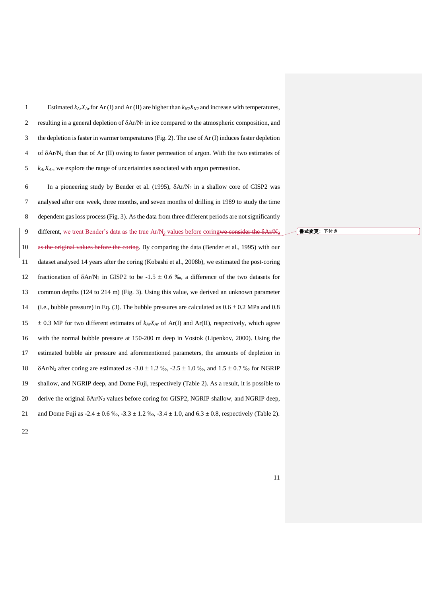|                | Estimated $k_{Ar}X_{Ar}$ for Ar (I) and Ar (II) are higher than $k_{N2}X_{N2}$ and increase with temperatures,    |
|----------------|-------------------------------------------------------------------------------------------------------------------|
| 2              | resulting in a general depletion of $\delta A r/N_2$ in ice compared to the atmospheric composition, and          |
| 3              | the depletion is faster in warmer temperatures (Fig. 2). The use of Ar (I) induces faster depletion               |
| $\overline{4}$ | of $\delta$ Ar/N <sub>2</sub> than that of Ar (II) owing to faster permeation of argon. With the two estimates of |
|                | $k_A X_A$ , we explore the range of uncertainties associated with argon permeation.                               |

6 In a pioneering study by Bender et al. (1995),  $\delta A r/N_2$  in a shallow core of GISP2 was analysed after one week, three months, and seven months of drilling in 1989 to study the time dependent gas loss process (Fig. 3). As the data from three different periods are not significantly 9 different, we treat Bender's data as the true Ar/N<sub>2</sub> values before coringwe consider the  $\delta$ Ar/N<sub>2</sub> as the original values before the coring. By comparing the data (Bender et al., 1995) with our dataset analysed 14 years after the coring (Kobashi et al., 2008b), we estimated the post-coring 12 fractionation of  $\delta A r/N_2$  in GISP2 to be -1.5 ± 0.6 ‰, a difference of the two datasets for common depths (124 to 214 m) (Fig. 3). Using this value, we derived an unknown parameter 14 (i.e., bubble pressure) in Eq. (3). The bubble pressures are calculated as  $0.6 \pm 0.2$  MPa and 0.8  $\pm$  0.3 MP for two different estimates of  $k_A$ *X*<sub>*Ar*</sub> of Ar(I) and Ar(II), respectively, which agree with the normal bubble pressure at 150-200 m deep in Vostok (Lipenkov, 2000). Using the estimated bubble air pressure and aforementioned parameters, the amounts of depletion in  $\delta$ Ar/N<sub>2</sub> after coring are estimated as -3.0  $\pm$  1.2 ‰, -2.5  $\pm$  1.0 ‰, and 1.5  $\pm$  0.7 ‰ for NGRIP shallow, and NGRIP deep, and Dome Fuji, respectively (Table 2). As a result, it is possible to 20 derive the original  $\delta$ Ar/N<sub>2</sub> values before coring for GISP2, NGRIP shallow, and NGRIP deep, 21 and Dome Fuji as  $-2.4 \pm 0.6$  ‰,  $-3.3 \pm 1.2$  ‰,  $-3.4 \pm 1.0$ , and  $6.3 \pm 0.8$ , respectively (Table 2).

書式変更: 下付き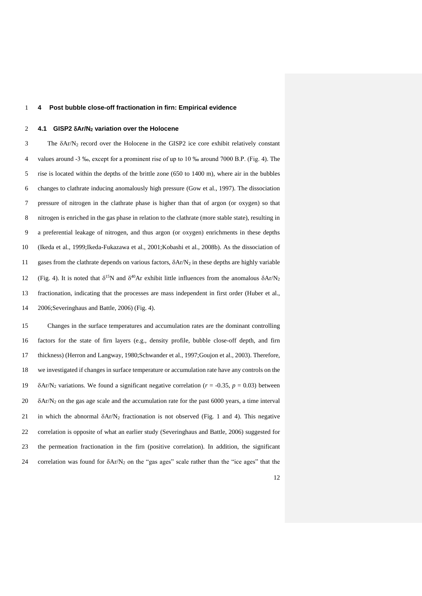### **4 Post bubble close-off fractionation in firn: Empirical evidence**

#### **4.1 GISP2 Ar/N<sup>2</sup> variation over the Holocene**

3 The  $\delta$ Ar/N<sub>2</sub> record over the Holocene in the GISP2 ice core exhibit relatively constant values around -3 ‰, except for a prominent rise of up to 10 ‰ around 7000 B.P. (Fig. 4). The rise is located within the depths of the brittle zone (650 to 1400 m), where air in the bubbles changes to clathrate inducing anomalously high pressure (Gow et al., 1997). The dissociation pressure of nitrogen in the clathrate phase is higher than that of argon (or oxygen) so that nitrogen is enriched in the gas phase in relation to the clathrate (more stable state), resulting in a preferential leakage of nitrogen, and thus argon (or oxygen) enrichments in these depths (Ikeda et al., 1999;Ikeda-Fukazawa et al., 2001;Kobashi et al., 2008b). As the dissociation of 11 gases from the clathrate depends on various factors,  $\delta A r/N_2$  in these depths are highly variable 12 (Fig. 4). It is noted that  $\delta^{15}N$  and  $\delta^{40}Ar$  exhibit little influences from the anomalous  $\delta Ar/N_2$  fractionation, indicating that the processes are mass independent in first order (Huber et al., 2006;Severinghaus and Battle, 2006) (Fig. 4).

 Changes in the surface temperatures and accumulation rates are the dominant controlling factors for the state of firn layers (e.g., density profile, bubble close-off depth, and firn thickness) (Herron and Langway, 1980;Schwander et al., 1997;Goujon et al., 2003). Therefore, we investigated if changes in surface temperature or accumulation rate have any controls on the  $\delta$ Ar/N<sub>2</sub> variations. We found a significant negative correlation ( $r = -0.35$ ,  $p = 0.03$ ) between  $20\sigma$   $\delta$ Ar/N<sub>2</sub> on the gas age scale and the accumulation rate for the past 6000 years, a time interval 21 in which the abnormal  $\delta A r / N_2$  fractionation is not observed (Fig. 1 and 4). This negative correlation is opposite of what an earlier study (Severinghaus and Battle, 2006) suggested for the permeation fractionation in the firn (positive correlation). In addition, the significant 24 correlation was found for  $\delta A r/N_2$  on the "gas ages" scale rather than the "ice ages" that the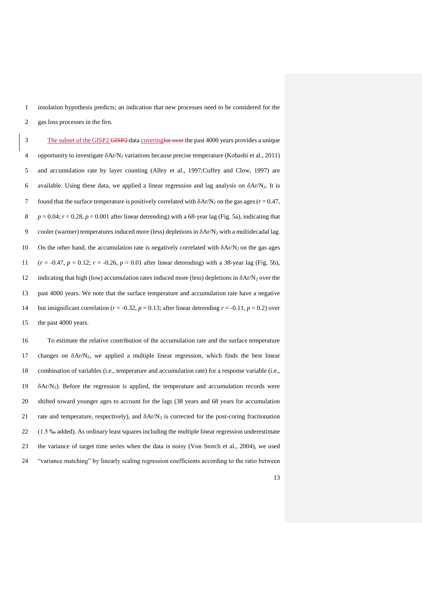1 insolation hypothesis predicts; an indication that new processes need to be considered for the 2 gas loss processes in the firn.

3 The subset of the GISP2 GISP2 data coveringfor over the past 4000 years provides a unique 4 opportunity to investigate  $\delta$ Ar/N<sub>2</sub> variations because precise temperature (Kobashi et al., 2011) 5 and accumulation rate by layer counting (Alley et al., 1997;Cuffey and Clow, 1997) are 6 available. Using these data, we applied a linear regression and lag analysis on  $\delta$ Ar/N<sub>2</sub>. It is 7 found that the surface temperature is positively correlated with  $\delta A r/N_2$  on the gas ages ( $r = 0.47$ , 8  $p = 0.04$ ;  $r = 0.28$ ,  $p = 0.001$  after linear detrending) with a 68-year lag (Fig. 5a), indicating that 9 cooler (warmer) temperatures induced more (less) depletions in  $\delta A r / N_2$  with a multidecadal lag. 10 On the other hand, the accumulation rate is negatively correlated with  $\delta A r/N_2$  on the gas ages 11  $(r = -0.47, p = 0.12; r = -0.26, p = 0.01$  after linear detrending) with a 38-year lag (Fig. 5b), 12 indicating that high (low) accumulation rates induced more (less) depletions in  $\delta A r/N_2$  over the 13 past 4000 years. We note that the surface temperature and accumulation rate have a negative 14 but insignificant correlation ( $r = -0.32$ ,  $p = 0.13$ ; after linear detrending  $r = -0.11$ ,  $p = 0.2$ ) over 15 the past 4000 years.

 To estimate the relative contribution of the accumulation rate and the surface temperature 17 changes on  $\delta A r/N_2$ , we applied a multiple linear regression, which finds the best linear combination of variables (i.e., temperature and accumulation rate) for a response variable (i.e.,  $\delta$ Ar/N<sub>2</sub>). Before the regression is applied, the temperature and accumulation records were shifted toward younger ages to account for the lags (38 years and 68 years for accumulation 21 rate and temperature, respectively), and  $\delta$ Ar/N<sub>2</sub> is corrected for the post-coring fractionation (1.5 ‰ added). As ordinary least squares including the multiple linear regression underestimate the variance of target time series when the data is noisy (Von Storch et al., 2004), we used "variance matching" by linearly scaling regression coefficients according to the ratio between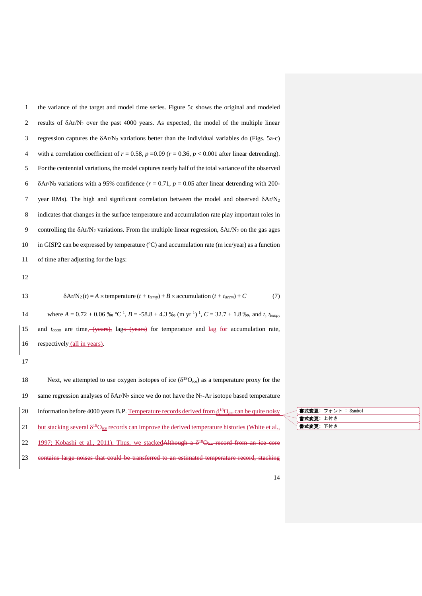| $\,1$ | the variance of the target and model time series. Figure 5c shows the original and modeled                                                                 |  |
|-------|------------------------------------------------------------------------------------------------------------------------------------------------------------|--|
| 2     | results of $\delta$ Ar/N <sub>2</sub> over the past 4000 years. As expected, the model of the multiple linear                                              |  |
| 3     | regression captures the $\delta Ar/N_2$ variations better than the individual variables do (Figs. 5a-c)                                                    |  |
| 4     | with a correlation coefficient of $r = 0.58$ , $p = 0.09$ ( $r = 0.36$ , $p < 0.001$ after linear detrending).                                             |  |
| 5     | For the centennial variations, the model captures nearly half of the total variance of the observed                                                        |  |
| 6     | $\delta$ Ar/N <sub>2</sub> variations with a 95% confidence ( $r = 0.71$ , $p = 0.05$ after linear detrending with 200-                                    |  |
| 7     | year RMs). The high and significant correlation between the model and observed $\delta Ar/N_2$                                                             |  |
| 8     | indicates that changes in the surface temperature and accumulation rate play important roles in                                                            |  |
| 9     | controlling the $\delta A r/N_2$ variations. From the multiple linear regression, $\delta A r/N_2$ on the gas ages                                         |  |
| 10    | in GISP2 can be expressed by temperature $(C)$ and accumulation rate (m ice/year) as a function                                                            |  |
| 11    | of time after adjusting for the lags:                                                                                                                      |  |
| 12    |                                                                                                                                                            |  |
| 13    | $\delta$ Ar/N <sub>2</sub> (t) = A × temperature (t + t <sub>temp</sub> ) + B × accumulation (t + t <sub>accm</sub> ) + C<br>(7)                           |  |
| 14    | where $A = 0.72 \pm 0.06$ % °C <sup>-1</sup> , $B = -58.8 \pm 4.3$ % (m yr <sup>-1</sup> ) <sup>-1</sup> , $C = 32.7 \pm 1.8$ % and t, t <sub>temp</sub> , |  |
| 15    | and $t_{accm}$ are time <sub>x</sub> (years), lags (years) for temperature and <u>lag for</u> accumulation rate,                                           |  |
| 16    | respectively (all in years).                                                                                                                               |  |
| 17    |                                                                                                                                                            |  |
| 18    | Next, we attempted to use oxygen isotopes of ice ( $\delta^{18}O_{ice}$ ) as a temperature proxy for the                                                   |  |
| 19    | same regression analyses of $\delta Ar/N_2$ since we do not have the N <sub>2</sub> -Ar isotope based temperature                                          |  |
| 20    | information before 4000 years B.P. Temperature records derived from $\delta^{18}$ O <sub>ice</sub> can be quite noisy                                      |  |
| 21    | but stacking several $\delta^{18}O_{\text{ice}}$ records can improve the derived temperature histories (White et al.,                                      |  |
| 22    | 1997; Kobashi et al., 2011). Thus, we stacked Although a $\delta^{48}$ Oiee record from an ice core                                                        |  |
| 23    | contains large noises that could be transferred to an estimated temperature record, stacking                                                               |  |

|           | 書 <b>式変更:</b> フォント : Symbol |
|-----------|-----------------------------|
| 曹式変更: 上付き |                             |
| 「式変更: 下付き |                             |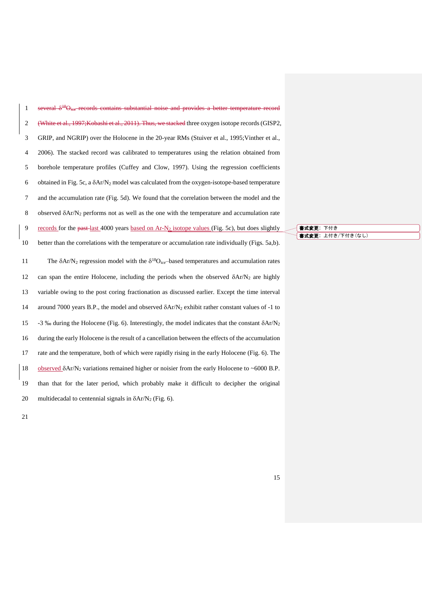| $\mathbf{1}$   | several $\delta^{48}O_{\text{ice}}$ -records contains substantial noise and provides a better temperature record  |
|----------------|-------------------------------------------------------------------------------------------------------------------|
| $\sqrt{2}$     | (White et al., 1997; Kobashi et al., 2011). Thus, we stacked three oxygen isotope records (GISP2,                 |
| 3              | GRIP, and NGRIP) over the Holocene in the 20-year RMs (Stuiver et al., 1995; Vinther et al.,                      |
| $\overline{4}$ | 2006). The stacked record was calibrated to temperatures using the relation obtained from                         |
| 5              | borehole temperature profiles (Cuffey and Clow, 1997). Using the regression coefficients                          |
| 6              | obtained in Fig. 5c, a $\delta$ Ar/N <sub>2</sub> model was calculated from the oxygen-isotope-based temperature  |
| 7              | and the accumulation rate (Fig. 5d). We found that the correlation between the model and the                      |
| $\,8\,$        | observed $\delta A r/N_2$ performs not as well as the one with the temperature and accumulation rate              |
| 9              | records for the past-last 4000 years based on $Ar-N2$ isotope values (Fig. 5c), but does slightly                 |
| 10             | better than the correlations with the temperature or accumulation rate individually (Figs. 5a,b).                 |
|                |                                                                                                                   |
| $11\,$         | The $\delta A r/N_2$ regression model with the $\delta^{18}O_{ice}$ -based temperatures and accumulation rates    |
| $12\,$         | can span the entire Holocene, including the periods when the observed $\delta Ar/N_2$ are highly                  |
| 13             | variable owing to the post coring fractionation as discussed earlier. Except the time interval                    |
| 14             | around 7000 years B.P., the model and observed $\delta$ Ar/N <sub>2</sub> exhibit rather constant values of -1 to |
| 15             | -3 ‰ during the Holocene (Fig. 6). Interestingly, the model indicates that the constant $\delta A r/N_2$          |
| 16             | during the early Holocene is the result of a cancellation between the effects of the accumulation                 |
| $17\,$         | rate and the temperature, both of which were rapidly rising in the early Holocene (Fig. 6). The                   |
| 18             | observed $\delta$ Ar/N <sub>2</sub> variations remained higher or noisier from the early Holocene to ~6000 B.P.   |
| 19             | than that for the later period, which probably make it difficult to decipher the original                         |

書式変更: 下付き 書式変更: 上付き/下付き(なし)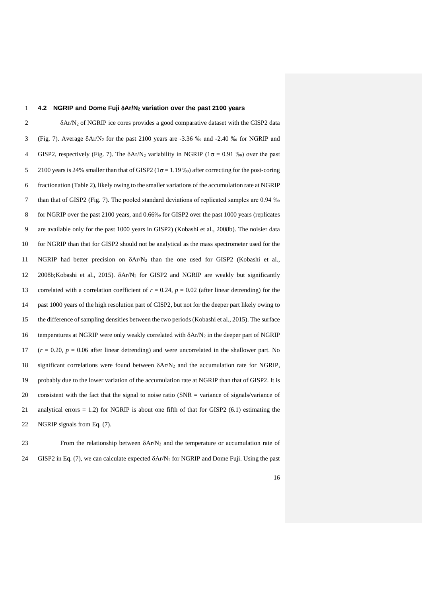# 1 **4.2 NGRIP and Dome Fuji Ar/N<sup>2</sup> variation over the past 2100 years**

 $\delta A r/N_2$  of NGRIP ice cores provides a good comparative dataset with the GISP2 data 3 (Fig. 7). Average  $\delta$ Ar/N<sub>2</sub> for the past 2100 years are -3.36 ‰ and -2.40 ‰ for NGRIP and 4 GISP2, respectively (Fig. 7). The  $\delta$ Ar/N<sub>2</sub> variability in NGRIP (1 $\sigma$  = 0.91 ‰) over the past 5 2100 years is 24% smaller than that of GISP2 ( $1\sigma = 1.19$ %) after correcting for the post-coring 6 fractionation (Table 2), likely owing to the smaller variations of the accumulation rate at NGRIP 7 than that of GISP2 (Fig. 7). The pooled standard deviations of replicated samples are 0.94 ‰ 8 for NGRIP over the past 2100 years, and 0.66‰ for GISP2 over the past 1000 years (replicates 9 are available only for the past 1000 years in GISP2) (Kobashi et al., 2008b). The noisier data 10 for NGRIP than that for GISP2 should not be analytical as the mass spectrometer used for the 11 NGRIP had better precision on Ar/N<sup>2</sup> than the one used for GISP2 (Kobashi et al., 12 2008b;Kobashi et al., 2015). Ar/N<sup>2</sup> for GISP2 and NGRIP are weakly but significantly 13 correlated with a correlation coefficient of  $r = 0.24$ ,  $p = 0.02$  (after linear detrending) for the 14 past 1000 years of the high resolution part of GISP2, but not for the deeper part likely owing to 15 the difference of sampling densities between the two periods (Kobashi et al., 2015). The surface 16 temperatures at NGRIP were only weakly correlated with  $\delta A r/N_2$  in the deeper part of NGRIP 17  $(r = 0.20, p = 0.06$  after linear detrending) and were uncorrelated in the shallower part. No 18 significant correlations were found between  $\delta Ar/N_2$  and the accumulation rate for NGRIP, 19 probably due to the lower variation of the accumulation rate at NGRIP than that of GISP2. It is 20 consistent with the fact that the signal to noise ratio (SNR = variance of signals/variance of 21 analytical errors  $= 1.2$ ) for NGRIP is about one fifth of that for GISP2 (6.1) estimating the 22 NGRIP signals from Eq. (7).

23 From the relationship between  $\delta A r/N_2$  and the temperature or accumulation rate of 24 GISP2 in Eq. (7), we can calculate expected  $\delta A r/N_2$  for NGRIP and Dome Fuji. Using the past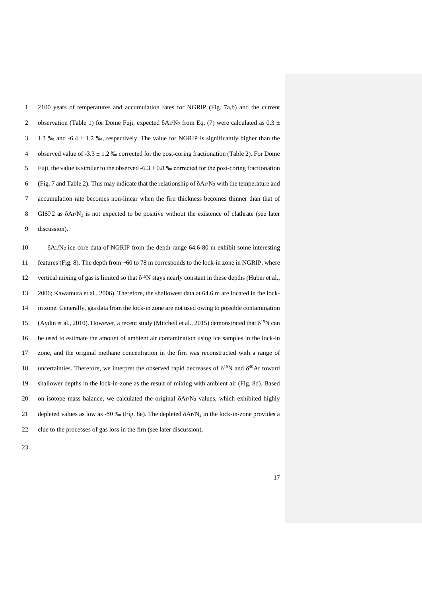1 2100 years of temperatures and accumulation rates for NGRIP (Fig. 7a,b) and the current 2 observation (Table 1) for Dome Fuji, expected  $\delta$ Ar/N<sub>2</sub> from Eq. (7) were calculated as 0.3  $\pm$ 3 1.3 ‰ and  $-6.4 \pm 1.2$  ‰, respectively. The value for NGRIP is significantly higher than the 4 observed value of  $-3.3 \pm 1.2$  ‰ corrected for the post-coring fractionation (Table 2). For Dome 5 Fuji, the value is similar to the observed  $-6.3 \pm 0.8$  % corrected for the post-coring fractionation 6 (Fig. 7 and Table 2). This may indicate that the relationship of  $\delta$ Ar/N<sub>2</sub> with the temperature and 7 accumulation rate becomes non-linear when the firn thickness becomes thinner than that of 8 GISP2 as  $\delta$ Ar/N<sub>2</sub> is not expected to be positive without the existence of clathrate (see later 9 discussion).

 $\delta$ Ar/N<sub>2</sub> ice core data of NGRIP from the depth range 64.6-80 m exhibit some interesting features (Fig. 8). The depth from ~60 to 78 m corresponds to the lock-in zone in NGRIP, where 12 vertical mixing of gas is limited so that  $\delta^{15}N$  stays nearly constant in these depths (Huber et al., 2006; Kawamura et al., 2006). Therefore, the shallowest data at 64.6 m are located in the lock- in zone. Generally, gas data from the lock-in zone are not used owing to possible contamination 15 (Aydin et al., 2010). However, a recent study (Mitchell et al., 2015) demonstrated that  $\delta^{15}N$  can be used to estimate the amount of ambient air contamination using ice samples in the lock-in zone, and the original methane concentration in the firn was reconstructed with a range of 18 uncertainties. Therefore, we interpret the observed rapid decreases of  $\delta^{15}N$  and  $\delta^{40}Ar$  toward shallower depths in the lock-in-zone as the result of mixing with ambient air (Fig. 8d). Based 20 on isotope mass balance, we calculated the original  $\delta A r/N_2$  values, which exhibited highly 21 depleted values as low as -50 ‰ (Fig. 8e). The depleted  $\delta$ Ar/N<sub>2</sub> in the lock-in-zone provides a clue to the processes of gas loss in the firn (see later discussion).

23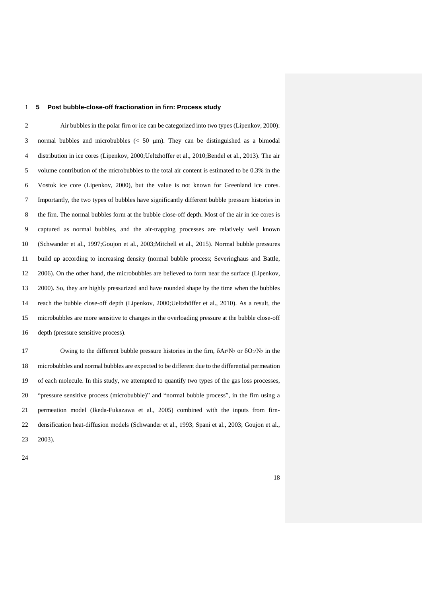## **5 Post bubble-close-off fractionation in firn: Process study**

 Air bubbles in the polar firn or ice can be categorized into two types (Lipenkov, 2000): 3 normal bubbles and microbubbles  $\langle 50 \mu m \rangle$ . They can be distinguished as a bimodal distribution in ice cores (Lipenkov, 2000;Ueltzhöffer et al., 2010;Bendel et al., 2013). The air volume contribution of the microbubbles to the total air content is estimated to be 0.3% in the Vostok ice core (Lipenkov, 2000), but the value is not known for Greenland ice cores. Importantly, the two types of bubbles have significantly different bubble pressure histories in the firn. The normal bubbles form at the bubble close-off depth. Most of the air in ice cores is captured as normal bubbles, and the air-trapping processes are relatively well known (Schwander et al., 1997;Goujon et al., 2003;Mitchell et al., 2015). Normal bubble pressures build up according to increasing density (normal bubble process; Severinghaus and Battle, 2006). On the other hand, the microbubbles are believed to form near the surface (Lipenkov, 2000). So, they are highly pressurized and have rounded shape by the time when the bubbles reach the bubble close-off depth (Lipenkov, 2000;Ueltzhöffer et al., 2010). As a result, the microbubbles are more sensitive to changes in the overloading pressure at the bubble close-off depth (pressure sensitive process).

17 Owing to the different bubble pressure histories in the firn,  $\delta A r/N_2$  or  $\delta O_2/N_2$  in the microbubbles and normal bubbles are expected to be different due to the differential permeation of each molecule. In this study, we attempted to quantify two types of the gas loss processes, "pressure sensitive process (microbubble)" and "normal bubble process", in the firn using a permeation model (Ikeda-Fukazawa et al., 2005) combined with the inputs from firn- densification heat-diffusion models (Schwander et al., 1993; Spani et al., 2003; Goujon et al., 2003).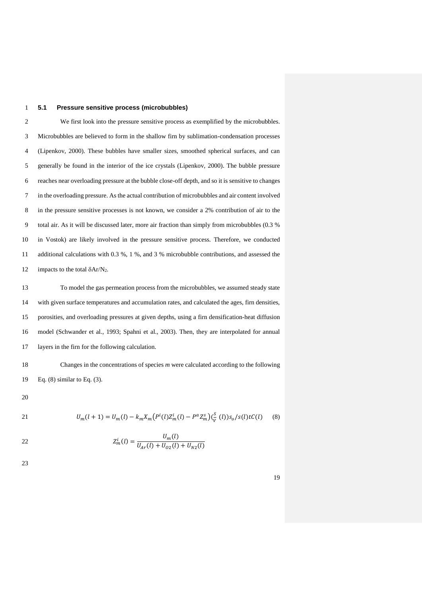## 1 **5.1 Pressure sensitive process (microbubbles)**

 We first look into the pressure sensitive process as exemplified by the microbubbles. Microbubbles are believed to form in the shallow firn by sublimation-condensation processes (Lipenkov, 2000). These bubbles have smaller sizes, smoothed spherical surfaces, and can generally be found in the interior of the ice crystals (Lipenkov, 2000). The bubble pressure reaches near overloading pressure at the bubble close-off depth, and so it is sensitive to changes in the overloading pressure. As the actual contribution of microbubbles and air content involved in the pressure sensitive processes is not known, we consider a 2% contribution of air to the total air. As it will be discussed later, more air fraction than simply from microbubbles (0.3 % in Vostok) are likely involved in the pressure sensitive process. Therefore, we conducted additional calculations with 0.3 %, 1 %, and 3 % microbubble contributions, and assessed the 12 impacts to the total  $\delta$ Ar/N<sub>2</sub>.

 To model the gas permeation process from the microbubbles, we assumed steady state with given surface temperatures and accumulation rates, and calculated the ages, firn densities, porosities, and overloading pressures at given depths, using a firn densification-heat diffusion model (Schwander et al., 1993; Spahni et al., 2003). Then, they are interpolated for annual layers in the firn for the following calculation.

18 Changes in the concentrations of species *m* were calculated according to the following 19 Eq. (8) similar to Eq. (3).

20

21 
$$
U_m(l+1) = U_m(l) - k_m X_m \left( P^i(l) Z^i_m(l) - P^a Z^s_m \right) \left( \frac{S}{V}(l) \right) s_o/s(l) t C(l) \tag{8}
$$

22 
$$
Z_m^i(l) = \frac{U_m(l)}{U_{Ar}(l) + U_{O2}(l) + U_{N2}(l)}
$$

23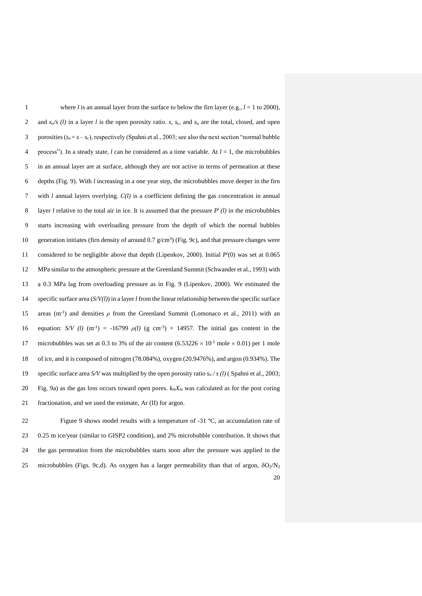| 1              | where <i>l</i> is an annual layer from the surface to below the firn layer (e.g., $l = 1$ to 2000),                             |
|----------------|---------------------------------------------------------------------------------------------------------------------------------|
| $\overline{2}$ | and $s_o/s$ (l) in a layer l is the open porosity ratio. s, s <sub>c</sub> , and s <sub>o</sub> are the total, closed, and open |
| 3              | porosities $(s_o = s - s_c)$ , respectively (Spahni et al., 2003; see also the next section "normal bubble"                     |
| 4              | process"). In a steady state, l can be considered as a time variable. At $l = 1$ , the microbubbles                             |
| 5              | in an annual layer are at surface, although they are not active in terms of permeation at these                                 |
| 6              | depths (Fig. 9). With $l$ increasing in a one year step, the microbubbles move deeper in the firm                               |
| 7              | with $l$ annual layers overlying. $C(l)$ is a coefficient defining the gas concentration in annual                              |
| 8              | layer l relative to the total air in ice. It is assumed that the pressure $P^{i}(l)$ in the microbubbles                        |
| 9              | starts increasing with overloading pressure from the depth of which the normal bubbles                                          |
| 10             | generation initiates (firn density of around 0.7 $g/cm3$ ) (Fig. 9c), and that pressure changes were                            |
| 11             | considered to be negligible above that depth (Lipenkov, 2000). Initial $P'(0)$ was set at 0.065                                 |
| 12             | MPa similar to the atmospheric pressure at the Greenland Summit (Schwander et al., 1993) with                                   |
| 13             | a 0.3 MPa lag from overloading pressure as in Fig. 9 (Lipenkov, 2000). We estimated the                                         |
| 14             | specific surface area $(S/V(l))$ in a layer <i>l</i> from the linear relationship between the specific surface                  |
| 15             | areas (m <sup>-1</sup> ) and densities $\rho$ from the Greenland Summit (Lomonaco et al., 2011) with an                         |
| 16             | equation: $S/V$ (l) (m <sup>-1</sup> ) = -16799 $\rho(l)$ (g cm <sup>-3</sup> ) + 14957. The initial gas content in the         |
| 17             | microbubbles was set at 0.3 to 3% of the air content (6.53226 $\times$ 10 <sup>-5</sup> mole $\times$ 0.01) per 1 mole          |
| 18             | of ice, and it is composed of nitrogen (78.084%), oxygen (20.9476%), and argon (0.934%). The                                    |
| 19             | specific surface area S/V was multiplied by the open porosity ratio $s_o/s$ (1) (Spahni et al., 2003;                           |
| 20             | Fig. 9a) as the gas loss occurs toward open pores. $k_m X_m$ was calculated as for the post coring                              |
| 21             | fractionation, and we used the estimate, Ar (II) for argon.                                                                     |
|                |                                                                                                                                 |

 Figure 9 shows model results with a temperature of -31 ºC, an accumulation rate of 0.25 m ice/year (similar to GISP2 condition), and 2% microbubble contribution. It shows that the gas permeation from the microbubbles starts soon after the pressure was applied in the 25 microbubbles (Figs. 9c,d). As oxygen has a larger permeability than that of argon,  $\delta O_2/N_2$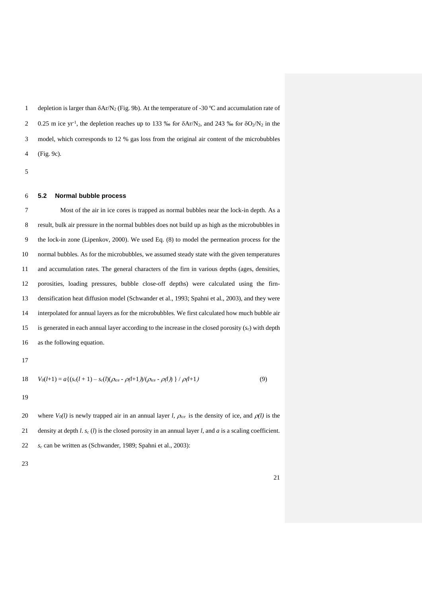1 depletion is larger than  $\delta$ Ar/N<sub>2</sub> (Fig. 9b). At the temperature of -30 °C and accumulation rate of 2 0.25 m ice yr<sup>-1</sup>, the depletion reaches up to 133 ‰ for  $\delta A r/N_2$ , and 243 ‰ for  $\delta O_2/N_2$  in the model, which corresponds to 12 % gas loss from the original air content of the microbubbles (Fig. 9c).

#### **5.2 Normal bubble process**

 Most of the air in ice cores is trapped as normal bubbles near the lock-in depth. As a result, bulk air pressure in the normal bubbles does not build up as high as the microbubbles in the lock-in zone (Lipenkov, 2000). We used Eq. (8) to model the permeation process for the normal bubbles. As for the microbubbles, we assumed steady state with the given temperatures and accumulation rates. The general characters of the firn in various depths (ages, densities, porosities, loading pressures, bubble close-off depths) were calculated using the firn- densification heat diffusion model (Schwander et al., 1993; Spahni et al., 2003), and they were interpolated for annual layers as for the microbubbles. We first calculated how much bubble air is generated in each annual layer according to the increase in the closed porosity (*sc*) with depth as the following equation.

18 
$$
V_0(l+1) = a\{(s_c(l+1) - s_c(l)(\rho_{ice} - \rho(l+1))/(\rho_{ice} - \rho(l))\}) / \rho(l+1)
$$
 (9)

20 where  $V_0(l)$  is newly trapped air in an annual layer *l*,  $\rho_{ice}$  is the density of ice, and  $\rho(l)$  is the 21 density at depth *l*.  $s_c$  (*l*) is the closed porosity in an annual layer *l*, and *a* is a scaling coefficient. *s<sup>c</sup>* can be written as (Schwander, 1989; Spahni et al., 2003):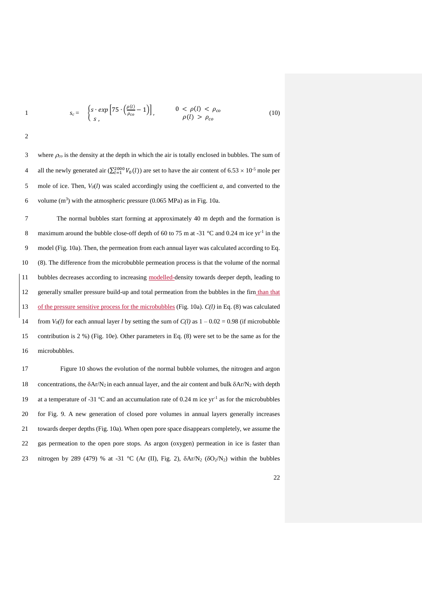$$
1 \qquad s_c = \begin{cases} s \cdot exp\left[75 \cdot \left(\frac{\rho(l)}{\rho_{co}} - 1\right)\right], & 0 < \rho(l) < \rho_{co} \\ s, & \rho(l) > \rho_{co} \end{cases} \tag{10}
$$

3 where  $\rho_{co}$  is the density at the depth in which the air is totally enclosed in bubbles. The sum of 4 all the newly generated air  $(\sum_{l=1}^{2000} V_0(l))$  are set to have the air content of 6.53  $\times$  10<sup>-5</sup> mole per 5 mole of ice. Then, *V0*(*l*) was scaled accordingly using the coefficient *a*, and converted to the 6 volume  $(m^3)$  with the atmospheric pressure (0.065 MPa) as in Fig. 10a.

 The normal bubbles start forming at approximately 40 m depth and the formation is 8 maximum around the bubble close-off depth of 60 to 75 m at -31  $^{\circ}$ C and 0.24 m ice yr<sup>-1</sup> in the model (Fig. 10a). Then, the permeation from each annual layer was calculated according to Eq. (8). The difference from the microbubble permeation process is that the volume of the normal 11 bubbles decreases according to increasing modelled-density towards deeper depth, leading to generally smaller pressure build-up and total permeation from the bubbles in the firn than that of the pressure sensitive process for the microbubbles (Fig. 10a). *C(l)* in Eq. (8) was calculated 14 from  $V_0(l)$  for each annual layer *l* by setting the sum of  $C(l)$  as  $1 - 0.02 = 0.98$  (if microbubble contribution is 2 %) (Fig. 10e). Other parameters in Eq. (8) were set to be the same as for the microbubbles.

17 Figure 10 shows the evolution of the normal bubble volumes, the nitrogen and argon 18 concentrations, the  $\delta A r/N_2$  in each annual layer, and the air content and bulk  $\delta A r/N_2$  with depth 19 at a temperature of -31  $^{\circ}$ C and an accumulation rate of 0.24 m ice yr<sup>-1</sup> as for the microbubbles 20 for Fig. 9. A new generation of closed pore volumes in annual layers generally increases 21 towards deeper depths (Fig. 10a). When open pore space disappears completely, we assume the 22 gas permeation to the open pore stops. As argon (oxygen) permeation in ice is faster than 23 nitrogen by 289 (479) % at -31 °C (Ar (II), Fig. 2),  $\delta$ Ar/N<sub>2</sub> ( $\delta$ O<sub>2</sub>/N<sub>2</sub>) within the bubbles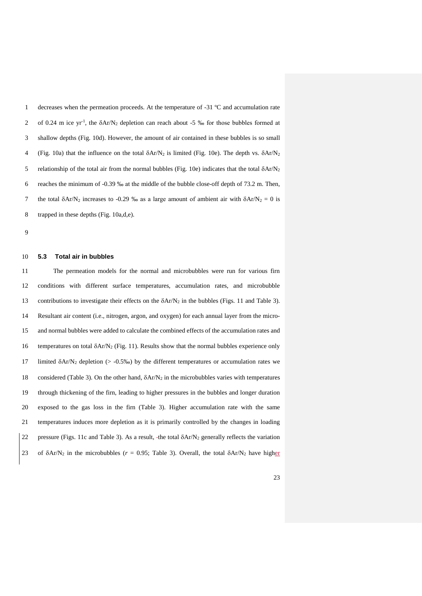decreases when the permeation proceeds. At the temperature of -31 ºC and accumulation rate 2 of 0.24 m ice yr<sup>1</sup>, the  $\delta$ Ar/N<sub>2</sub> depletion can reach about -5 ‰ for those bubbles formed at shallow depths (Fig. 10d). However, the amount of air contained in these bubbles is so small 4 (Fig. 10a) that the influence on the total  $\delta Ar/N_2$  is limited (Fig. 10e). The depth vs.  $\delta Ar/N_2$ 5 relationship of the total air from the normal bubbles (Fig. 10e) indicates that the total  $\delta A r/N_2$  reaches the minimum of -0.39 ‰ at the middle of the bubble close-off depth of 73.2 m. Then, 7 the total  $\delta$ Ar/N<sub>2</sub> increases to -0.29 ‰ as a large amount of ambient air with  $\delta$ Ar/N<sub>2</sub> = 0 is trapped in these depths (Fig. 10a,d,e).

#### **5.3 Total air in bubbles**

 The permeation models for the normal and microbubbles were run for various firn conditions with different surface temperatures, accumulation rates, and microbubble 13 contributions to investigate their effects on the  $\delta$ Ar/N<sub>2</sub> in the bubbles (Figs. 11 and Table 3). Resultant air content (i.e., nitrogen, argon, and oxygen) for each annual layer from the micro- and normal bubbles were added to calculate the combined effects of the accumulation rates and 16 temperatures on total  $\delta A r/N_2$  (Fig. 11). Results show that the normal bubbles experience only 17 limited  $\delta$ Ar/N<sub>2</sub> depletion (> -0.5‰) by the different temperatures or accumulation rates we 18 considered (Table 3). On the other hand,  $\delta A r/N_2$  in the microbubbles varies with temperatures through thickening of the firn, leading to higher pressures in the bubbles and longer duration exposed to the gas loss in the firn (Table 3). Higher accumulation rate with the same temperatures induces more depletion as it is primarily controlled by the changes in loading pressure (Figs. 11c and Table 3). As a result, the total Ar/N<sup>2</sup> generally reflects the variation 23 of  $\delta$ Ar/N<sub>2</sub> in the microbubbles ( $r = 0.95$ ; Table 3). Overall, the total  $\delta$ Ar/N<sub>2</sub> have higher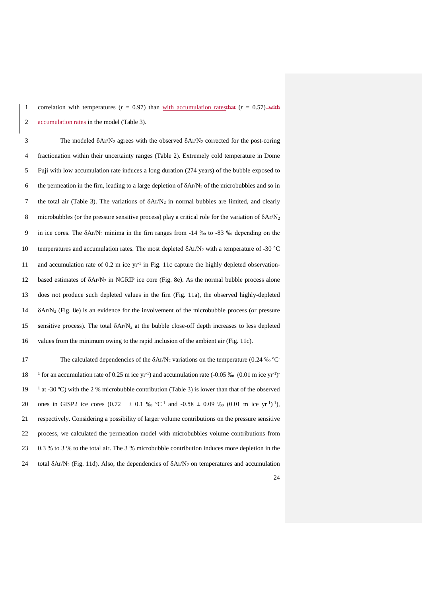1 correlation with temperatures  $(r = 0.97)$  than with accumulation ratesthat  $(r = 0.57)$  with 2 accumulation rates in the model (Table 3).

3 The modeled  $\delta A r/N_2$  agrees with the observed  $\delta A r/N_2$  corrected for the post-coring 4 fractionation within their uncertainty ranges (Table 2). Extremely cold temperature in Dome 5 Fuji with low accumulation rate induces a long duration (274 years) of the bubble exposed to 6 the permeation in the firn, leading to a large depletion of  $\delta A r/N_2$  of the microbubbles and so in 7 the total air (Table 3). The variations of  $\delta A r/N_2$  in normal bubbles are limited, and clearly 8 microbubbles (or the pressure sensitive process) play a critical role for the variation of  $\delta A r/N_2$ 9 in ice cores. The Ar/N<sup>2</sup> minima in the firn ranges from -14 ‰ to -83 ‰ depending on the 10 temperatures and accumulation rates. The most depleted  $\delta A r/N_2$  with a temperature of -30 °C 11 and accumulation rate of 0.2 m ice  $yr^{-1}$  in Fig. 11c capture the highly depleted observation-12 based estimates of  $\delta A r/N_2$  in NGRIP ice core (Fig. 8e). As the normal bubble process alone 13 does not produce such depleted values in the firn (Fig. 11a), the observed highly-depleted 14  $\delta$ Ar/N<sub>2</sub> (Fig. 8e) is an evidence for the involvement of the microbubble process (or pressure 15 sensitive process). The total  $\delta A r/N_2$  at the bubble close-off depth increases to less depleted 16 values from the minimum owing to the rapid inclusion of the ambient air (Fig. 11c).

The calculated dependencies of the  $\delta$ Ar/N<sub>2</sub> variations on the temperature (0.24 ‰ °C<sup>-17</sup> 18 <sup>1</sup> for an accumulation rate of 0.25 m ice yr<sup>-1</sup>) and accumulation rate (-0.05 ‰ (0.01 m ice yr<sup>-1</sup>) 19  $\frac{1}{2}$  at -30 °C) with the 2 % microbubble contribution (Table 3) is lower than that of the observed 20 ones in GISP2 ice cores  $(0.72 \pm 0.1 \text{ % }^{\circ}C^{-1}$  and  $-0.58 \pm 0.09 \text{ % } (0.01 \text{ m ice yr}^{-1})^{-1})$ , 21 respectively. Considering a possibility of larger volume contributions on the pressure sensitive 22 process, we calculated the permeation model with microbubbles volume contributions from 23 0.3 % to 3 % to the total air. The 3 % microbubble contribution induces more depletion in the 24 total  $\delta$ Ar/N<sub>2</sub> (Fig. 11d). Also, the dependencies of  $\delta$ Ar/N<sub>2</sub> on temperatures and accumulation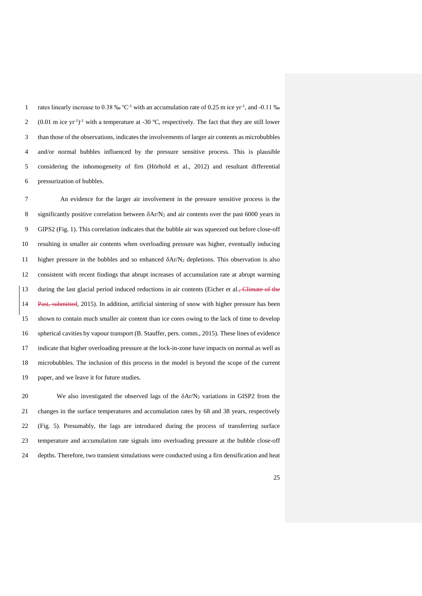1 rates linearly increase to 0.38 ‰  $^{\circ}C^{-1}$  with an accumulation rate of 0.25 m ice yr<sup>-1</sup>, and -0.11 ‰ 2 (0.01 m ice yr<sup>1</sup>)<sup>-1</sup> with a temperature at -30 °C, respectively. The fact that they are still lower 3 than those of the observations, indicates the involvements of larger air contents as microbubbles and/or normal bubbles influenced by the pressure sensitive process. This is plausible considering the inhomogeneity of firn (Hörhold et al., 2012) and resultant differential pressurization of bubbles.

 An evidence for the larger air involvement in the pressure sensitive process is the 8 significantly positive correlation between  $\delta A r/N_2$  and air contents over the past 6000 years in GIPS2 (Fig. 1). This correlation indicates that the bubble air was squeezed out before close-off resulting in smaller air contents when overloading pressure was higher, eventually inducing higher pressure in the bubbles and so enhanced Ar/N<sup>2</sup> depletions. This observation is also consistent with recent findings that abrupt increases of accumulation rate at abrupt warming 13 during the last glacial period induced reductions in air contents (Eicher et al., Climate of the 14 Past, submitted, 2015). In addition, artificial sintering of snow with higher pressure has been shown to contain much smaller air content than ice cores owing to the lack of time to develop spherical cavities by vapour transport (B. Stauffer, pers. comm., 2015). These lines of evidence indicate that higher overloading pressure at the lock-in-zone have impacts on normal as well as microbubbles. The inclusion of this process in the model is beyond the scope of the current paper, and we leave it for future studies.

 We also investigated the observed lags of the Ar/N<sup>2</sup> variations in GISP2 from the changes in the surface temperatures and accumulation rates by 68 and 38 years, respectively (Fig. 5). Presumably, the lags are introduced during the process of transferring surface temperature and accumulation rate signals into overloading pressure at the bubble close-off depths. Therefore, two transient simulations were conducted using a firn densification and heat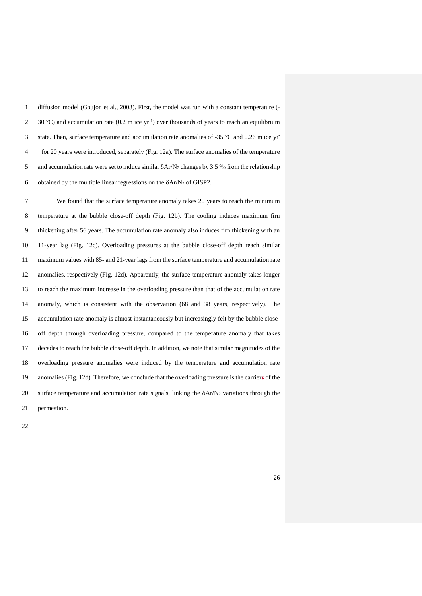diffusion model (Goujon et al., 2003). First, the model was run with a constant temperature (- 2 30 °C) and accumulation rate (0.2 m ice yr<sup>1</sup>) over thousands of years to reach an equilibrium state. Then, surface temperature and accumulation rate anomalies of -35 °C and 0.26 m ice yr- <sup>1</sup> for 20 years were introduced, separately (Fig. 12a). The surface anomalies of the temperature 5 and accumulation rate were set to induce similar  $\delta A r/N_2$  changes by 3.5 ‰ from the relationship 6 obtained by the multiple linear regressions on the  $\delta$ Ar/N<sub>2</sub> of GISP2.

 We found that the surface temperature anomaly takes 20 years to reach the minimum temperature at the bubble close-off depth (Fig. 12b). The cooling induces maximum firn thickening after 56 years. The accumulation rate anomaly also induces firn thickening with an 11-year lag (Fig. 12c). Overloading pressures at the bubble close-off depth reach similar maximum values with 85- and 21-year lags from the surface temperature and accumulation rate anomalies, respectively (Fig. 12d). Apparently, the surface temperature anomaly takes longer to reach the maximum increase in the overloading pressure than that of the accumulation rate anomaly, which is consistent with the observation (68 and 38 years, respectively). The accumulation rate anomaly is almost instantaneously but increasingly felt by the bubble close- off depth through overloading pressure, compared to the temperature anomaly that takes decades to reach the bubble close-off depth. In addition, we note that similar magnitudes of the overloading pressure anomalies were induced by the temperature and accumulation rate anomalies (Fig. 12d). Therefore, we conclude that the overloading pressure is the carriers of the 20 surface temperature and accumulation rate signals, linking the  $\delta A r/N_2$  variations through the permeation.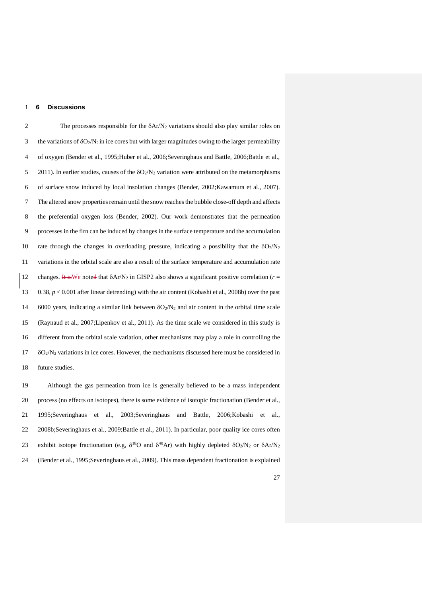## **6 Discussions**

2 The processes responsible for the  $\delta$ Ar/N<sub>2</sub> variations should also play similar roles on 3 the variations of  $\delta O_2/N_2$  in ice cores but with larger magnitudes owing to the larger permeability of oxygen (Bender et al., 1995;Huber et al., 2006;Severinghaus and Battle, 2006;Battle et al., 5 2011). In earlier studies, causes of the  $\delta O_2/N_2$  variation were attributed on the metamorphisms of surface snow induced by local insolation changes (Bender, 2002;Kawamura et al., 2007). The altered snow properties remain until the snow reaches the bubble close-off depth and affects the preferential oxygen loss (Bender, 2002). Our work demonstrates that the permeation processes in the firn can be induced by changes in the surface temperature and the accumulation 10 rate through the changes in overloading pressure, indicating a possibility that the  $\delta O_2/N_2$  variations in the orbital scale are also a result of the surface temperature and accumulation rate 12 changes. It is We noted that  $\delta A r/N_2$  in GISP2 also shows a significant positive correlation ( $r =$  0.38, *p* < 0.001 after linear detrending) with the air content (Kobashi et al., 2008b) over the past 14 6000 years, indicating a similar link between  $\delta O_2/N_2$  and air content in the orbital time scale (Raynaud et al., 2007;Lipenkov et al., 2011). As the time scale we considered in this study is different from the orbital scale variation, other mechanisms may play a role in controlling the  $\delta O_2/N_2$  variations in ice cores. However, the mechanisms discussed here must be considered in future studies.

 Although the gas permeation from ice is generally believed to be a mass independent process (no effects on isotopes), there is some evidence of isotopic fractionation (Bender et al., 1995;Severinghaus et al., 2003;Severinghaus and Battle, 2006;Kobashi et al., 2008b;Severinghaus et al., 2009;Battle et al., 2011). In particular, poor quality ice cores often 23 exhibit isotope fractionation (e.g,  $\delta^{18}$ O and  $\delta^{40}$ Ar) with highly depleted  $\delta O_2/N_2$  or  $\delta Ar/N_2$ (Bender et al., 1995;Severinghaus et al., 2009). This mass dependent fractionation is explained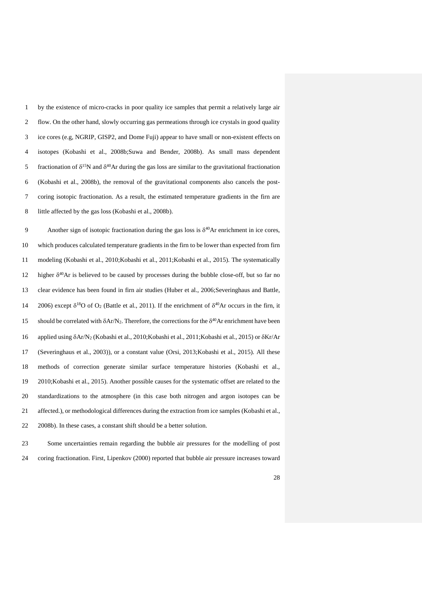by the existence of micro-cracks in poor quality ice samples that permit a relatively large air flow. On the other hand, slowly occurring gas permeations through ice crystals in good quality ice cores (e.g, NGRIP, GISP2, and Dome Fuji) appear to have small or non-existent effects on isotopes (Kobashi et al., 2008b;Suwa and Bender, 2008b). As small mass dependent 5 fractionation of  $\delta^{15}N$  and  $\delta^{40}Ar$  during the gas loss are similar to the gravitational fractionation (Kobashi et al., 2008b), the removal of the gravitational components also cancels the post- coring isotopic fractionation. As a result, the estimated temperature gradients in the firn are little affected by the gas loss (Kobashi et al., 2008b).

Another sign of isotopic fractionation during the gas loss is  $\delta^{40}$ Ar enrichment in ice cores, which produces calculated temperature gradients in the firn to be lower than expected from firn modeling (Kobashi et al., 2010;Kobashi et al., 2011;Kobashi et al., 2015). The systematically higher  $\delta^{40}$ Ar is believed to be caused by processes during the bubble close-off, but so far no clear evidence has been found in firn air studies (Huber et al., 2006;Severinghaus and Battle, 14 2006) except  $\delta^{18}$ O of O<sub>2</sub> (Battle et al., 2011). If the enrichment of  $\delta^{40}$ Ar occurs in the firn, it 15 should be correlated with  $\delta A r/N_2$ . Therefore, the corrections for the  $\delta^{40}A r$  enrichment have been 16 applied using  $\delta$ Ar/N<sub>2</sub> (Kobashi et al., 2010;Kobashi et al., 2011;Kobashi et al., 2015) or  $\delta$ Kr/Ar (Severinghaus et al., 2003)), or a constant value (Orsi, 2013;Kobashi et al., 2015). All these methods of correction generate similar surface temperature histories (Kobashi et al., 2010;Kobashi et al., 2015). Another possible causes for the systematic offset are related to the standardizations to the atmosphere (in this case both nitrogen and argon isotopes can be affected.), or methodological differences during the extraction from ice samples (Kobashi et al., 2008b). In these cases, a constant shift should be a better solution.

 Some uncertainties remain regarding the bubble air pressures for the modelling of post coring fractionation. First, Lipenkov (2000) reported that bubble air pressure increases toward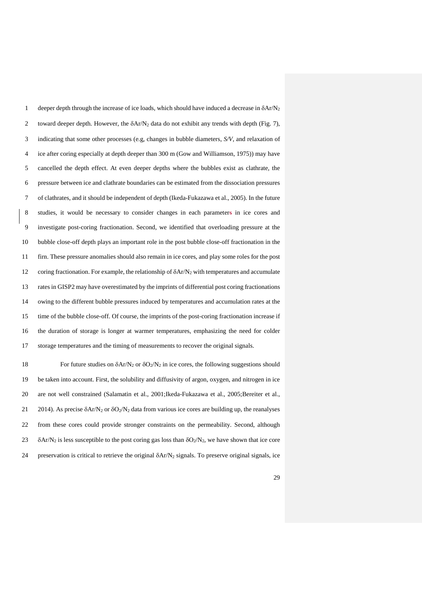1 deeper depth through the increase of ice loads, which should have induced a decrease in  $\delta A r/N_2$ 2 toward deeper depth. However, the  $\delta A r/N_2$  data do not exhibit any trends with depth (Fig. 7), indicating that some other processes (e.g, changes in bubble diameters, *S/V*, and relaxation of ice after coring especially at depth deeper than 300 m (Gow and Williamson, 1975)) may have cancelled the depth effect. At even deeper depths where the bubbles exist as clathrate, the pressure between ice and clathrate boundaries can be estimated from the dissociation pressures of clathrates, and it should be independent of depth (Ikeda-Fukazawa et al., 2005). In the future studies, it would be necessary to consider changes in each parameters in ice cores and investigate post-coring fractionation. Second, we identified that overloading pressure at the bubble close-off depth plays an important role in the post bubble close-off fractionation in the firn. These pressure anomalies should also remain in ice cores, and play some roles for the post 12 coring fractionation. For example, the relationship of  $\delta A r/N_2$  with temperatures and accumulate rates in GISP2 may have overestimated by the imprints of differential post coring fractionations owing to the different bubble pressures induced by temperatures and accumulation rates at the time of the bubble close-off. Of course, the imprints of the post-coring fractionation increase if the duration of storage is longer at warmer temperatures, emphasizing the need for colder storage temperatures and the timing of measurements to recover the original signals.

18 For future studies on  $\delta A r/N_2$  or  $\delta O_2/N_2$  in ice cores, the following suggestions should be taken into account. First, the solubility and diffusivity of argon, oxygen, and nitrogen in ice are not well constrained (Salamatin et al., 2001;Ikeda-Fukazawa et al., 2005;Bereiter et al., 21 2014). As precise  $\delta A r / N_2$  or  $\delta O_2 / N_2$  data from various ice cores are building up, the reanalyses from these cores could provide stronger constraints on the permeability. Second, although  $23 \delta Ar/N_2$  is less susceptible to the post coring gas loss than  $\delta O_2/N_2$ , we have shown that ice core 24 preservation is critical to retrieve the original  $\delta$ Ar/N<sub>2</sub> signals. To preserve original signals, ice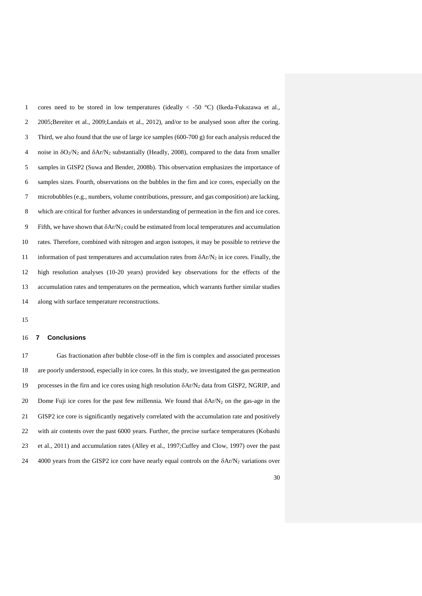1 cores need to be stored in low temperatures (ideally  $\lt$  -50 °C) (Ikeda-Fukazawa et al., 2005;Bereiter et al., 2009;Landais et al., 2012), and/or to be analysed soon after the coring. Third, we also found that the use of large ice samples (600-700 g) for each analysis reduced the 4 noise in  $\delta O_2/N_2$  and  $\delta Ar/N_2$  substantially (Headly, 2008), compared to the data from smaller samples in GISP2 (Suwa and Bender, 2008b). This observation emphasizes the importance of samples sizes. Fourth, observations on the bubbles in the firn and ice cores, especially on the microbubbles (e.g., numbers, volume contributions, pressure, and gas composition) are lacking, which are critical for further advances in understanding of permeation in the firn and ice cores. 9 Fifth, we have shown that  $\delta A r/N_2$  could be estimated from local temperatures and accumulation rates. Therefore, combined with nitrogen and argon isotopes, it may be possible to retrieve the 11 information of past temperatures and accumulation rates from  $\delta A r/N_2$  in ice cores. Finally, the high resolution analyses (10-20 years) provided key observations for the effects of the accumulation rates and temperatures on the permeation, which warrants further similar studies along with surface temperature reconstructions.

#### **7 Conclusions**

 Gas fractionation after bubble close-off in the firn is complex and associated processes are poorly understood, especially in ice cores. In this study, we investigated the gas permeation 19 processes in the firn and ice cores using high resolution  $\delta A r/N_2$  data from GISP2, NGRIP, and 20 Dome Fuji ice cores for the past few millennia. We found that  $\delta A r/N_2$  on the gas-age in the GISP2 ice core is significantly negatively correlated with the accumulation rate and positively with air contents over the past 6000 years. Further, the precise surface temperatures (Kobashi et al., 2011) and accumulation rates (Alley et al., 1997;Cuffey and Clow, 1997) over the past 24 4000 years from the GISP2 ice core have nearly equal controls on the  $\delta A r/N_2$  variations over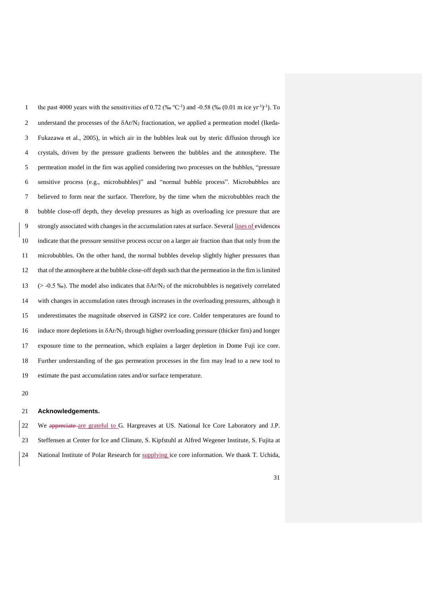1 the past 4000 years with the sensitivities of 0.72 (‰ °C<sup>-1</sup>) and -0.58 (‰ (0.01 m ice yr<sup>-1</sup>)<sup>-1</sup>). To 2 understand the processes of the  $\delta A r/N_2$  fractionation, we applied a permeation model (Ikeda- Fukazawa et al., 2005), in which air in the bubbles leak out by steric diffusion through ice crystals, driven by the pressure gradients between the bubbles and the atmosphere. The permeation model in the firn was applied considering two processes on the bubbles, "pressure sensitive process (e.g., microbubbles)" and "normal bubble process". Microbubbles are believed to form near the surface. Therefore, by the time when the microbubbles reach the bubble close-off depth, they develop pressures as high as overloading ice pressure that are strongly associated with changes in the accumulation rates at surface. Several lines of evidences indicate that the pressure sensitive process occur on a larger air fraction than that only from the microbubbles. On the other hand, the normal bubbles develop slightly higher pressures than that of the atmosphere at the bubble close-off depth such that the permeation in the firn islimited 13 ( $>$  -0.5 ‰). The model also indicates that  $\delta$ Ar/N<sub>2</sub> of the microbubbles is negatively correlated with changes in accumulation rates through increases in the overloading pressures, although it underestimates the magnitude observed in GISP2 ice core. Colder temperatures are found to induce more depletions in Ar/N<sup>2</sup> through higher overloading pressure (thicker firn) and longer exposure time to the permeation, which explains a larger depletion in Dome Fuji ice core. Further understanding of the gas permeation processes in the firn may lead to a new tool to estimate the past accumulation rates and/or surface temperature.

#### **Acknowledgements.**

22 We appreciate are grateful to G. Hargreaves at US. National Ice Core Laboratory and J.P. Steffensen at Center for Ice and Climate, S. Kipfstuhl at Alfred Wegener Institute, S. Fujita at National Institute of Polar Research for supplying ice core information. We thank T. Uchida,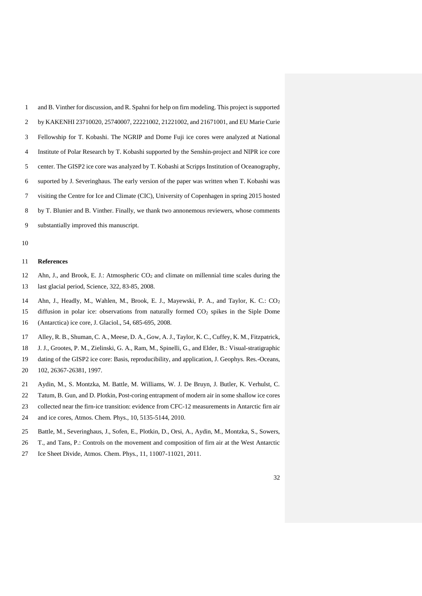| $\mathbf{1}$ | and B. Vinther for discussion, and R. Spahni for help on firn modeling. This project is supported |
|--------------|---------------------------------------------------------------------------------------------------|
| 2            | by KAKENHI 23710020, 25740007, 22221002, 21221002, and 21671001, and EU Marie Curie               |
| 3            | Fellowship for T. Kobashi. The NGRIP and Dome Fuji ice cores were analyzed at National            |
| 4            | Institute of Polar Research by T. Kobashi supported by the Senshin-project and NIPR ice core      |
| .5           | center. The GISP2 ice core was analyzed by T. Kobashi at Scripps Institution of Oceanography,     |
| 6            | suported by J. Severinghaus. The early version of the paper was written when T. Kobashi was       |
| 7            | visiting the Centre for Ice and Climate (CIC), University of Copenhagen in spring 2015 hosted     |
| 8            | by T. Blunier and B. Vinther. Finally, we thank two annonemous reviewers, whose comments          |
| 9            | substantially improved this manuscript.                                                           |

## **References**

- 12 Ahn, J., and Brook, E. J.: Atmospheric  $CO<sub>2</sub>$  and climate on millennial time scales during the last glacial period, Science, 322, 83-85, 2008.
- Ahn, J., Headly, M., Wahlen, M., Brook, E. J., Mayewski, P. A., and Taylor, K. C.: CO<sup>2</sup> 15 diffusion in polar ice: observations from naturally formed CO<sub>2</sub> spikes in the Siple Dome (Antarctica) ice core, J. Glaciol., 54, 685-695, 2008.
- Alley, R. B., Shuman, C. A., Meese, D. A., Gow, A. J., Taylor, K. C., Cuffey, K. M., Fitzpatrick,
- J. J., Grootes, P. M., Zielinski, G. A., Ram, M., Spinelli, G., and Elder, B.: Visual-stratigraphic
- dating of the GISP2 ice core: Basis, reproducibility, and application, J. Geophys. Res.-Oceans, 102, 26367-26381, 1997.
- Aydin, M., S. Montzka, M. Battle, M. Williams, W. J. De Bruyn, J. Butler, K. Verhulst, C.
- Tatum, B. Gun, and D. Plotkin, Post-coring entrapment of modern air in some shallow ice cores
- collected near the firn-ice transition: evidence from CFC-12 measurements in Antarctic firn air
- and ice cores, Atmos. Chem. Phys., 10, 5135-5144, 2010.
- Battle, M., Severinghaus, J., Sofen, E., Plotkin, D., Orsi, A., Aydin, M., Montzka, S., Sowers,
- T., and Tans, P.: Controls on the movement and composition of firn air at the West Antarctic
- Ice Sheet Divide, Atmos. Chem. Phys., 11, 11007-11021, 2011.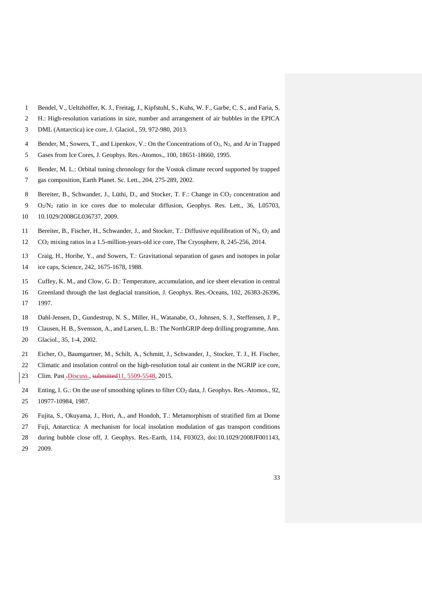- Bendel, V., Ueltzhöffer, K. J., Freitag, J., Kipfstuhl, S., Kuhs, W. F., Garbe, C. S., and Faria, S.
- H.: High-resolution variations in size, number and arrangement of air bubbles in the EPICA DML (Antarctica) ice core, J. Glaciol., 59, 972-980, 2013.
- 
- Bender, M., Sowers, T., and Lipenkov, V.: On the Concentrations of O2, N2, and Ar in Trapped
- Gases from Ice Cores, J. Geophys. Res.-Atomos., 100, 18651-18660, 1995.
- Bender, M. L.: Orbital tuning chronology for the Vostok climate record supported by trapped
- gas composition, Earth Planet. Sc. Lett., 204, 275-289, 2002.
- 8 Bereiter, B., Schwander, J., Lüthi, D., and Stocker, T. F.: Change in CO<sub>2</sub> concentration and
- O2/N<sup>2</sup> ratio in ice cores due to molecular diffusion, Geophys. Res. Lett., 36, L05703,
- 10.1029/2008GL036737, 2009.
- 11 Bereiter, B., Fischer, H., Schwander, J., and Stocker, T.: Diffusive equilibration of  $N_2$ ,  $O_2$  and
- CO<sup>2</sup> mixing ratios in a 1.5-million-years-old ice core, The Cryosphere, 8, 245-256, 2014.
- Craig, H., Horibe, Y., and Sowers, T.: Gravitational separation of gases and isotopes in polar ice caps, Science, 242, 1675-1678, 1988.
- Cuffey, K. M., and Clow, G. D.: Temperature, accumulation, and ice sheet elevation in central
- Greenland through the last deglacial transition, J. Geophys. Res.-Oceans, 102, 26383-26396, 1997.
- Dahl-Jensen, D., Gundestrup, N. S., Miller, H., Watanabe, O., Johnsen, S. J., Steffensen, J. P.,
- Clausen, H. B., Svensson, A., and Larsen, L. B.: The NorthGRIP deep drilling programme, Ann.
- Glaciol., 35, 1-4, 2002.
- Eicher, O., Baumgartner, M., Schilt, A., Schmitt, J., Schwander, J., Stocker, T. J., H. Fischer,
- Climatic and insolation control on the high-resolution total air content in the NGRIP ice core,
- 23 Clim. Past .Discuss., submitted 11, 5509-5548, 2015.
- 24 Enting, I. G.: On the use of smoothing splines to filter CO<sub>2</sub> data, J. Geophys. Res.-Atomos., 92, 10977-10984, 1987.
- Fujita, S., Okuyama, J., Hori, A., and Hondoh, T.: Metamorphism of stratified firn at Dome
- Fuji, Antarctica: A mechanism for local insolation modulation of gas transport conditions
- during bubble close off, J. Geophys. Res.-Earth, 114, F03023, doi:10.1029/2008JF001143,
- 2009.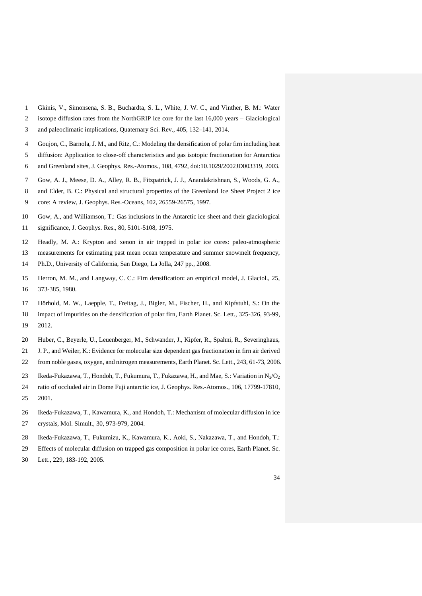- Gkinis, V., Simonsena, S. B., Buchardta, S. L., White, J. W. C., and Vinther, B. M.: Water
- isotope diffusion rates from the NorthGRIP ice core for the last 16,000 years Glaciological
- and paleoclimatic implications, Quaternary Sci. Rev., 405, 132–141, 2014.
- Goujon, C., Barnola, J. M., and Ritz, C.: Modeling the densification of polar firn including heat
- diffusion: Application to close-off characteristics and gas isotopic fractionation for Antarctica
- and Greenland sites, J. Geophys. Res.-Atomos., 108, 4792, doi:10.1029/2002JD003319, 2003.
- Gow, A. J., Meese, D. A., Alley, R. B., Fitzpatrick, J. J., Anandakrishnan, S., Woods, G. A.,
- and Elder, B. C.: Physical and structural properties of the Greenland Ice Sheet Project 2 ice core: A review, J. Geophys. Res.-Oceans, 102, 26559-26575, 1997.
- Gow, A., and Williamson, T.: Gas inclusions in the Antarctic ice sheet and their glaciological significance, J. Geophys. Res., 80, 5101-5108, 1975.
- Headly, M. A.: Krypton and xenon in air trapped in polar ice cores: paleo-atmospheric
- measurements for estimating past mean ocean temperature and summer snowmelt frequency,
- Ph.D., University of California, San Diego, La Jolla, 247 pp., 2008.
- Herron, M. M., and Langway, C. C.: Firn densification: an empirical model, J. Glaciol., 25, 373-385, 1980.
- Hörhold, M. W., Laepple, T., Freitag, J., Bigler, M., Fischer, H., and Kipfstuhl, S.: On the impact of impurities on the densification of polar firn, Earth Planet. Sc. Lett., 325-326, 93-99,
- 2012.
- Huber, C., Beyerle, U., Leuenberger, M., Schwander, J., Kipfer, R., Spahni, R., Severinghaus,
- J. P., and Weiler, K.: Evidence for molecular size dependent gas fractionation in firn air derived
- from noble gases, oxygen, and nitrogen measurements, Earth Planet. Sc. Lett., 243, 61-73, 2006.
- 23 Ikeda-Fukazawa, T., Hondoh, T., Fukumura, T., Fukazawa, H., and Mae, S.: Variation in  $N_2/O_2$
- ratio of occluded air in Dome Fuji antarctic ice, J. Geophys. Res.-Atomos., 106, 17799-17810, 2001.
- Ikeda-Fukazawa, T., Kawamura, K., and Hondoh, T.: Mechanism of molecular diffusion in ice crystals, Mol. Simult., 30, 973-979, 2004.
- Ikeda-Fukazawa, T., Fukumizu, K., Kawamura, K., Aoki, S., Nakazawa, T., and Hondoh, T.:
- Effects of molecular diffusion on trapped gas composition in polar ice cores, Earth Planet. Sc.
- Lett., 229, 183-192, 2005.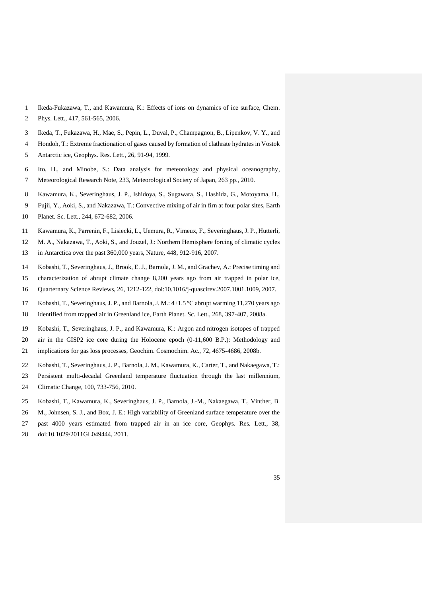- Ikeda-Fukazawa, T., and Kawamura, K.: Effects of ions on dynamics of ice surface, Chem.
- Phys. Lett., 417, 561-565, 2006.
- Ikeda, T., Fukazawa, H., Mae, S., Pepin, L., Duval, P., Champagnon, B., Lipenkov, V. Y., and
- Hondoh, T.: Extreme fractionation of gases caused by formation of clathrate hydrates in Vostok
- Antarctic ice, Geophys. Res. Lett., 26, 91-94, 1999.
- Ito, H., and Minobe, S.: Data analysis for meteorology and physical oceanography,
- Meteorological Research Note, 233, Meteorological Society of Japan, 263 pp., 2010.
- Kawamura, K., Severinghaus, J. P., Ishidoya, S., Sugawara, S., Hashida, G., Motoyama, H.,
- Fujii, Y., Aoki, S., and Nakazawa, T.: Convective mixing of air in firn at four polar sites, Earth
- Planet. Sc. Lett., 244, 672-682, 2006.
- Kawamura, K., Parrenin, F., Lisiecki, L., Uemura, R., Vimeux, F., Severinghaus, J. P., Hutterli,
- M. A., Nakazawa, T., Aoki, S., and Jouzel, J.: Northern Hemisphere forcing of climatic cycles in Antarctica over the past 360,000 years, Nature, 448, 912-916, 2007.
- Kobashi, T., Severinghaus, J., Brook, E. J., Barnola, J. M., and Grachev, A.: Precise timing and
- characterization of abrupt climate change 8,200 years ago from air trapped in polar ice,
- Quarternary Science Reviews, 26, 1212-122, doi:10.1016/j-quascirev.2007.1001.1009, 2007.
- Kobashi, T., Severinghaus, J. P., and Barnola, J. M.: 4±1.5 ºC abrupt warming 11,270 years ago
- identified from trapped air in Greenland ice, Earth Planet. Sc. Lett., 268, 397-407, 2008a.
- Kobashi, T., Severinghaus, J. P., and Kawamura, K.: Argon and nitrogen isotopes of trapped
- air in the GISP2 ice core during the Holocene epoch (0-11,600 B.P.): Methodology and
- implications for gas loss processes, Geochim. Cosmochim. Ac., 72, 4675-4686, 2008b.
- Kobashi, T., Severinghaus, J. P., Barnola, J. M., Kawamura, K., Carter, T., and Nakaegawa, T.:
- Persistent multi-decadal Greenland temperature fluctuation through the last millennium,
- Climatic Change, 100, 733-756, 2010.
- Kobashi, T., Kawamura, K., Severinghaus, J. P., Barnola, J.-M., Nakaegawa, T., Vinther, B.
- M., Johnsen, S. J., and Box, J. E.: High variability of Greenland surface temperature over the
- past 4000 years estimated from trapped air in an ice core, Geophys. Res. Lett., 38,
- doi:10.1029/2011GL049444, 2011.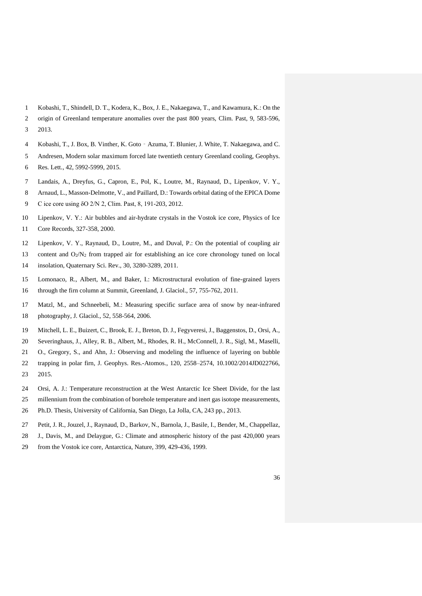- Kobashi, T., Shindell, D. T., Kodera, K., Box, J. E., Nakaegawa, T., and Kawamura, K.: On the
- origin of Greenland temperature anomalies over the past 800 years, Clim. Past, 9, 583-596, 2013.
- Kobashi, T., J. Box, B. Vinther, K. Goto‐Azuma, T. Blunier, J. White, T. Nakaegawa, and C.
- Andresen, Modern solar maximum forced late twentieth century Greenland cooling, Geophys.
- Res. Lett., 42, 5992-5999, 2015.
- Landais, A., Dreyfus, G., Capron, E., Pol, K., Loutre, M., Raynaud, D., Lipenkov, V. Y.,
- Arnaud, L., Masson-Delmotte, V., and Paillard, D.: Towards orbital dating of the EPICA Dome
- C ice core using δO 2/N 2, Clim. Past, 8, 191-203, 2012.
- Lipenkov, V. Y.: Air bubbles and air-hydrate crystals in the Vostok ice core, Physics of Ice Core Records, 327-358, 2000.
- Lipenkov, V. Y., Raynaud, D., Loutre, M., and Duval, P.: On the potential of coupling air
- 13 content and  $O_2/N_2$  from trapped air for establishing an ice core chronology tuned on local
- insolation, Quaternary Sci. Rev., 30, 3280-3289, 2011.
- Lomonaco, R., Albert, M., and Baker, I.: Microstructural evolution of fine-grained layers
- through the firn column at Summit, Greenland, J. Glaciol., 57, 755-762, 2011.
- Matzl, M., and Schneebeli, M.: Measuring specific surface area of snow by near-infrared photography, J. Glaciol., 52, 558-564, 2006.
- Mitchell, L. E., Buizert, C., Brook, E. J., Breton, D. J., Fegyveresi, J., Baggenstos, D., Orsi, A.,
- Severinghaus, J., Alley, R. B., Albert, M., Rhodes, R. H., McConnell, J. R., Sigl, M., Maselli,
- O., Gregory, S., and Ahn, J.: Observing and modeling the influence of layering on bubble
- trapping in polar firn, J. Geophys. Res.-Atomos., 120, 2558–2574, 10.1002/2014JD022766, 2015.
- Orsi, A. J.: Temperature reconstruction at the West Antarctic Ice Sheet Divide, for the last
- millennium from the combination of borehole temperature and inert gas isotope measurements,
- Ph.D. Thesis, University of California, San Diego, La Jolla, CA, 243 pp., 2013.
- Petit, J. R., Jouzel, J., Raynaud, D., Barkov, N., Barnola, J., Basile, I., Bender, M., Chappellaz,
- J., Davis, M., and Delaygue, G.: Climate and atmospheric history of the past 420,000 years
- from the Vostok ice core, Antarctica, Nature, 399, 429-436, 1999.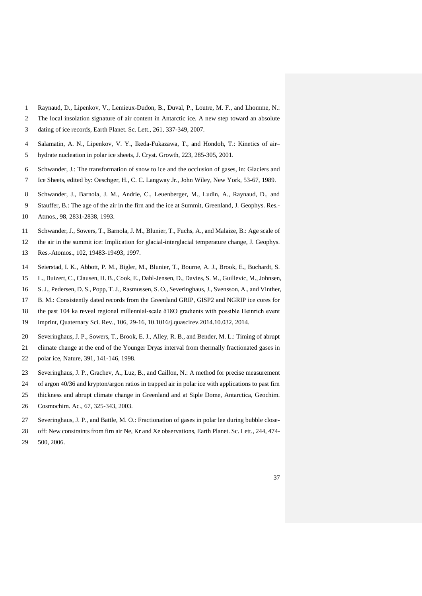- Raynaud, D., Lipenkov, V., Lemieux-Dudon, B., Duval, P., Loutre, M. F., and Lhomme, N.:
- The local insolation signature of air content in Antarctic ice. A new step toward an absolute dating of ice records, Earth Planet. Sc. Lett., 261, 337-349, 2007.
- Salamatin, A. N., Lipenkov, V. Y., Ikeda-Fukazawa, T., and Hondoh, T.: Kinetics of air–
- hydrate nucleation in polar ice sheets, J. Cryst. Growth, 223, 285-305, 2001.
- Schwander, J.: The transformation of snow to ice and the occlusion of gases, in: Glaciers and
- Ice Sheets, edited by: Oeschger, H., C. C. Langway Jr., John Wiley, New York, 53-67, 1989.
- Schwander, J., Barnola, J. M., Andrie, C., Leuenberger, M., Ludin, A., Raynaud, D., and
- Stauffer, B.: The age of the air in the firn and the ice at Summit, Greenland, J. Geophys. Res.-
- Atmos., 98, 2831-2838, 1993.
- Schwander, J., Sowers, T., Barnola, J. M., Blunier, T., Fuchs, A., and Malaize, B.: Age scale of
- the air in the summit ice: Implication for glacial-interglacial temperature change, J. Geophys.
- Res.-Atomos., 102, 19483-19493, 1997.
- Seierstad, I. K., Abbott, P. M., Bigler, M., Blunier, T., Bourne, A. J., Brook, E., Buchardt, S.
- L., Buizert, C., Clausen, H. B., Cook, E., Dahl-Jensen, D., Davies, S. M., Guillevic, M., Johnsen,
- S. J., Pedersen, D. S., Popp, T. J., Rasmussen, S. O., Severinghaus, J., Svensson, A., and Vinther,
- B. M.: Consistently dated records from the Greenland GRIP, GISP2 and NGRIP ice cores for
- the past 104 ka reveal regional millennial-scale δ18O gradients with possible Heinrich event
- imprint, Quaternary Sci. Rev., 106, 29-16, 10.1016/j.quascirev.2014.10.032, 2014.
- Severinghaus, J. P., Sowers, T., Brook, E. J., Alley, R. B., and Bender, M. L.: Timing of abrupt
- climate change at the end of the Younger Dryas interval from thermally fractionated gases in polar ice, Nature, 391, 141-146, 1998.
- 
- Severinghaus, J. P., Grachev, A., Luz, B., and Caillon, N.: A method for precise measurement
- of argon 40/36 and krypton/argon ratios in trapped air in polar ice with applications to past firn
- thickness and abrupt climate change in Greenland and at Siple Dome, Antarctica, Geochim.
- Cosmochim. Ac., 67, 325-343, 2003.
- Severinghaus, J. P., and Battle, M. O.: Fractionation of gases in polar lee during bubble close-
- off: New constraints from firn air Ne, Kr and Xe observations, Earth Planet. Sc. Lett., 244, 474- 500, 2006.
	-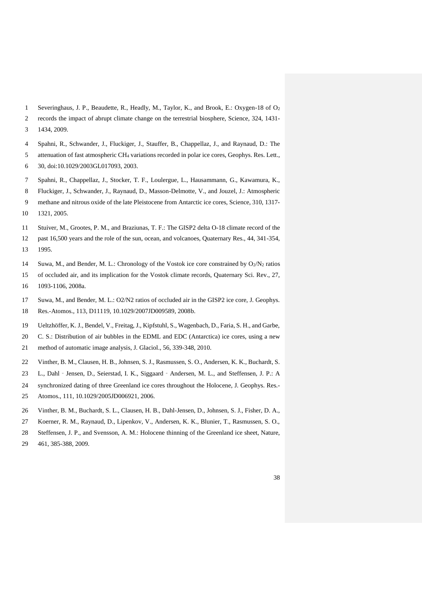- Severinghaus, J. P., Beaudette, R., Headly, M., Taylor, K., and Brook, E.: Oxygen-18 of O<sup>2</sup>
- records the impact of abrupt climate change on the terrestrial biosphere, Science, 324, 1431- 1434, 2009.
- Spahni, R., Schwander, J., Fluckiger, J., Stauffer, B., Chappellaz, J., and Raynaud, D.: The
- attenuation of fast atmospheric CH<sup>4</sup> variations recorded in polar ice cores, Geophys. Res. Lett.,
- 30, doi:10.1029/2003GL017093, 2003.
- Spahni, R., Chappellaz, J., Stocker, T. F., Loulergue, L., Hausammann, G., Kawamura, K.,
- Fluckiger, J., Schwander, J., Raynaud, D., Masson-Delmotte, V., and Jouzel, J.: Atmospheric
- methane and nitrous oxide of the late Pleistocene from Antarctic ice cores, Science, 310, 1317- 1321, 2005.
- Stuiver, M., Grootes, P. M., and Braziunas, T. F.: The GISP2 delta O-18 climate record of the past 16,500 years and the role of the sun, ocean, and volcanoes, Quaternary Res., 44, 341-354, 1995.
- 14 Suwa, M., and Bender, M. L.: Chronology of the Vostok ice core constrained by  $O_2/N_2$  ratios of occluded air, and its implication for the Vostok climate records, Quaternary Sci. Rev., 27,
- 1093-1106, 2008a.
- Suwa, M., and Bender, M. L.: O2/N2 ratios of occluded air in the GISP2 ice core, J. Geophys. Res.-Atomos., 113, D11119, 10.1029/2007JD009589, 2008b.
- Ueltzhöffer, K. J., Bendel, V., Freitag, J., Kipfstuhl, S., Wagenbach, D., Faria, S. H., and Garbe,
- C. S.: Distribution of air bubbles in the EDML and EDC (Antarctica) ice cores, using a new
- method of automatic image analysis, J. Glaciol., 56, 339-348, 2010.
- Vinther, B. M., Clausen, H. B., Johnsen, S. J., Rasmussen, S. O., Andersen, K. K., Buchardt, S.
- 23 L., Dahl Jensen, D., Seierstad, I. K., Siggaard Andersen, M. L., and Steffensen, J. P.: A
- synchronized dating of three Greenland ice cores throughout the Holocene, J. Geophys. Res.-
- Atomos., 111, 10.1029/2005JD006921, 2006.
- Vinther, B. M., Buchardt, S. L., Clausen, H. B., Dahl-Jensen, D., Johnsen, S. J., Fisher, D. A.,
- Koerner, R. M., Raynaud, D., Lipenkov, V., Andersen, K. K., Blunier, T., Rasmussen, S. O.,
- Steffensen, J. P., and Svensson, A. M.: Holocene thinning of the Greenland ice sheet, Nature, 461, 385-388, 2009.
	-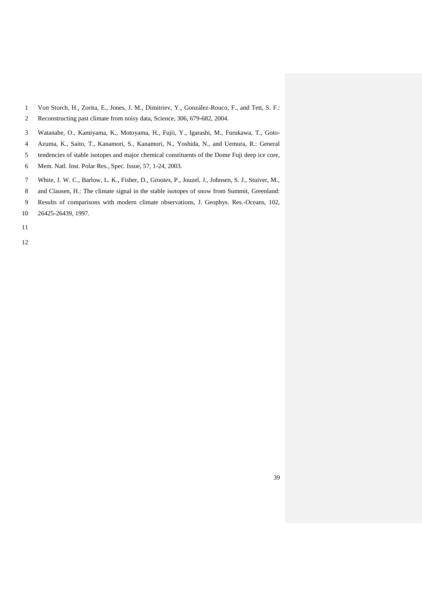- Von Storch, H., Zorita, E., Jones, J. M., Dimitriev, Y., González-Rouco, F., and Tett, S. F.:
- Reconstructing past climate from noisy data, Science, 306, 679-682, 2004.
- Watanabe, O., Kamiyama, K., Motoyama, H., Fujii, Y., Igarashi, M., Furukawa, T., Goto-
- Azuma, K., Saito, T., Kanamori, S., Kanamori, N., Yoshida, N., and Uemura, R.: General
- tendencies of stable isotopes and major chemical constituents of the Dome Fuji deep ice core,
- Mem. Natl. Inst. Polar Res., Spec. Issue, 57, 1-24, 2003.
- White, J. W. C., Barlow, L. K., Fisher, D., Grootes, P., Jouzel, J., Johnsen, S. J., Stuiver, M.,
- and Clausen, H.: The climate signal in the stable isotopes of snow from Summit, Greenland:
- Results of comparisons with modern climate observations, J. Geophys. Res.-Oceans, 102,
- 26425-26439, 1997.
- 
-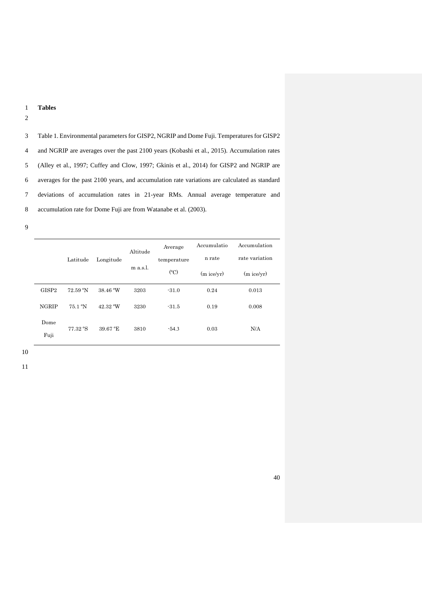## 1 **Tables**

2

 Table 1. Environmental parameters for GISP2, NGRIP and Dome Fuji. Temperatures for GISP2 and NGRIP are averages over the past 2100 years (Kobashi et al., 2015). Accumulation rates (Alley et al., 1997; Cuffey and Clow, 1997; Gkinis et al., 2014) for GISP2 and NGRIP are averages for the past 2100 years, and accumulation rate variations are calculated as standard deviations of accumulation rates in 21-year RMs. Annual average temperature and accumulation rate for Dome Fuji are from Watanabe et al. (2003).

9

|                                   | Latitude                                                          | Longitude            | Altitude<br>$m$ a.s.l. | Average<br>temperature<br>$({}^{\circ}C)$ | Accumulatio<br>n rate<br>$(m$ ice/yr) | Accumulation<br>rate variation<br>$(m$ ice/yr) |  |
|-----------------------------------|-------------------------------------------------------------------|----------------------|------------------------|-------------------------------------------|---------------------------------------|------------------------------------------------|--|
| GISP <sub>2</sub><br><b>NGRIP</b> | $72.59\text{ }^{\circ}\text{N}$<br>$75.1\text{ }^{\circ}\text{N}$ | 38.46 °W<br>42.32 °W | 3203<br>3230           | $-31.0$<br>$-31.5$                        | 0.24<br>0.19                          | 0.013<br>0.008                                 |  |
| Dome<br>Fuji                      | 77.32 °S                                                          | 39.67 °E             | 3810                   | $-54.3$                                   | 0.03                                  | N/A                                            |  |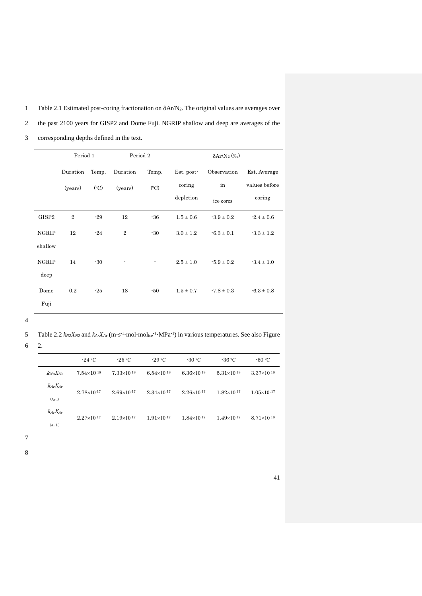1 Table 2.1 Estimated post-coring fractionation on  $\delta A r/N_2$ . The original values are averages over

2 the past 2100 years for GISP2 and Dome Fuji. NGRIP shallow and deep are averages of the

- Period 1 Period 2  $\delta Ar/N_2$  (‰) Duration (years) Temp. (ºC) Duration (years) Temp. (ºC) Est. postcoring depletion Observation in ice cores Est. Average values before coring GISP2 2 -29 12 -36  $1.5 \pm 0.6$   $-3.9 \pm 0.2$   $-2.4 \pm 0.6$ NGRIP shallow 12  $-24$  2  $-30$   $3.0 \pm 1.2$   $-6.3 \pm 0.1$   $-3.3 \pm 1.2$ NGRIP deep 14  $-30$   $2.5 \pm 1.0$   $5.9 \pm 0.2$   $3.4 \pm 1.0$ Dome Fuji 0.2  $-25$  18  $-50$   $1.5 \pm 0.7$   $-7.8 \pm 0.3$   $-6.3 \pm 0.8$
- 3 corresponding depths defined in the text.

4

6 2.

|                          | $-24\text{ °C}$        | $-25\text{ °C}$        | $-29\text{ °C}$        | $-30 °C$               | $-36\text{ °C}$        | $-50 °C$               |
|--------------------------|------------------------|------------------------|------------------------|------------------------|------------------------|------------------------|
| $k_{N2}X_{N2}$           | $7.54 \times 10^{-18}$ | $7.33\times10^{-18}$   | $6.54\times10^{-18}$   | $6.36\times10^{-18}$   | $5.31 \times 10^{-18}$ | $3.37\times10^{-18}$   |
| $k_{Ar}X_{Ar}$<br>(ArI)  | $2.78 \times 10^{-17}$ | $2.69 \times 10^{-17}$ | $2.34 \times 10^{-17}$ | $2.26\times10^{-17}$   | $1.82\times10^{-17}$   | $1.05 \times 10^{-17}$ |
| $k$ Ar $X$ Ar<br>(Ar Ii) | $2.27 \times 10^{-17}$ | $2.19\times10^{-17}$   | $1.91 \times 10^{-17}$ | $1.84 \times 10^{-17}$ | $1.49\times10^{-17}$   | $8.71\times10^{-18}$   |

7

8

<sup>5</sup> Table 2.2  $k_{N2}X_{N2}$  and  $k_{Ar}X_{Ar}$  (m·s<sup>-1</sup>·mol·mol<sub>ice</sub><sup>-1</sup>·MPa<sup>-1</sup>) in various temperatures. See also Figure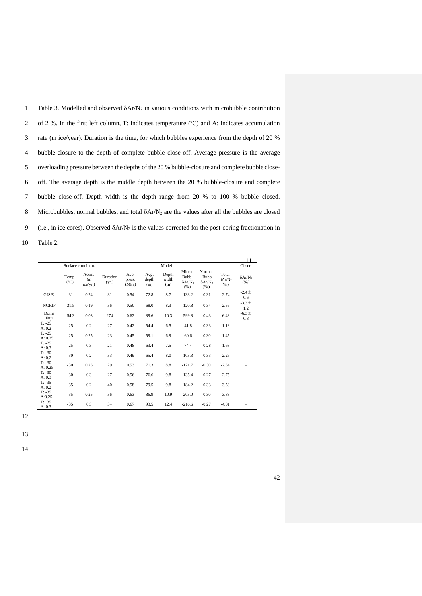1 Table 3. Modelled and observed  $\delta$ Ar/N<sub>2</sub> in various conditions with microbubble contribution of 2 %. In the first left column, T: indicates temperature (ºC) and A: indicates accumulation rate (m ice/year). Duration is the time, for which bubbles experience from the depth of 20 % bubble-closure to the depth of complete bubble close-off. Average pressure is the average overloading pressure between the depths of the 20 % bubble-closure and complete bubble close- off. The average depth is the middle depth between the 20 % bubble-closure and complete bubble close-off. Depth width is the depth range from 20 % to 100 % bubble closed. 8 Microbubbles, normal bubbles, and total  $\delta Ar/N_2$  are the values after all the bubbles are closed 9 (i.e., in ice cores). Observed  $\delta$ Ar/N<sub>2</sub> is the values corrected for the post-coring fractionation in Table 2.

|                                 |                        |                                                |                   |                         |                      |                                |                                             |                                                  | 11                                   |                                       |
|---------------------------------|------------------------|------------------------------------------------|-------------------|-------------------------|----------------------|--------------------------------|---------------------------------------------|--------------------------------------------------|--------------------------------------|---------------------------------------|
|                                 | Temp.<br>$(^{\circ}C)$ | Surface condition.<br>Accm.<br>(m)<br>ice/yr.) | Duration<br>(yr.) | Ave.<br>press.<br>(MPa) | Avg.<br>depth<br>(m) | Model<br>Depth<br>width<br>(m) | Micro-<br>Bubb.<br>$\delta A r/N_2$<br>(%o) | Normal<br>- Bubb.<br>$\delta A r/N_2$<br>$(\%0)$ | Total<br>$\delta A r/N_2$<br>$(\%0)$ | Obser.<br>$\delta A r/N_2$<br>$(\%o)$ |
| GISP2                           | $-31$                  | 0.24                                           | 31                | 0.54                    | 72.8                 | 8.7                            | $-133.2$                                    | $-0.31$                                          | $-2.74$                              | $-2.4 +$<br>0.6                       |
| <b>NGRIP</b>                    | $-31.5$                | 0.19                                           | 36                | 0.50                    | 68.0                 | 8.3                            | $-120.8$                                    | $-0.34$                                          | $-2.56$                              | $-3.3 \pm$<br>1.2                     |
| Dome<br>Fuji                    | $-54.3$                | 0.03                                           | 274               | 0.62                    | 89.6                 | 10.3                           | $-599.8$                                    | $-0.43$                                          | $-6.43$                              | $-6.3 \pm$<br>0.8                     |
| $T: -25$<br>A: 0.2              | $-25$                  | 0.2                                            | 27                | 0.42                    | 54.4                 | 6.5                            | $-41.8$                                     | $-0.33$                                          | $-1.13$                              | $\overline{\phantom{0}}$              |
| $T: -25$<br>A: 0.25             | $-25$                  | 0.25                                           | 23                | 0.45                    | 59.1                 | 6.9                            | $-60.6$                                     | $-0.30$                                          | $-1.45$                              |                                       |
| $T: -25$<br>A: 0.3              | $-25$                  | 0.3                                            | 21                | 0.48                    | 63.4                 | 7.5                            | $-74.4$                                     | $-0.28$                                          | $-1.68$                              |                                       |
| $T: -30$<br>A: 0.2              | $-30$                  | 0.2                                            | 33                | 0.49                    | 65.4                 | 8.0                            | $-103.3$                                    | $-0.33$                                          | $-2.25$                              |                                       |
| $T: -30$<br>A: 0.25<br>$T: -30$ | $-30$                  | 0.25                                           | 29                | 0.53                    | 71.3                 | 8.8                            | $-121.7$                                    | $-0.30$                                          | $-2.54$                              |                                       |
| A: 0.3<br>$T: -35$              | $-30$                  | 0.3                                            | 27                | 0.56                    | 76.6                 | 9.8                            | $-135.4$                                    | $-0.27$                                          | $-2.75$                              |                                       |
| A: 0.2<br>$T: -35$              | $-35$                  | 0.2                                            | 40                | 0.58                    | 79.5                 | 9.8                            | $-184.2$                                    | $-0.33$                                          | $-3.58$                              |                                       |
| A:0.25<br>$T: -35$              | $-35$                  | 0.25                                           | 36                | 0.63                    | 86.9                 | 10.9                           | $-203.0$                                    | $-0.30$                                          | $-3.83$                              |                                       |
| A: 0.3                          | $-35$                  | 0.3                                            | 34                | 0.67                    | 93.5                 | 12.4                           | $-216.6$                                    | $-0.27$                                          | $-4.01$                              |                                       |

12

13

14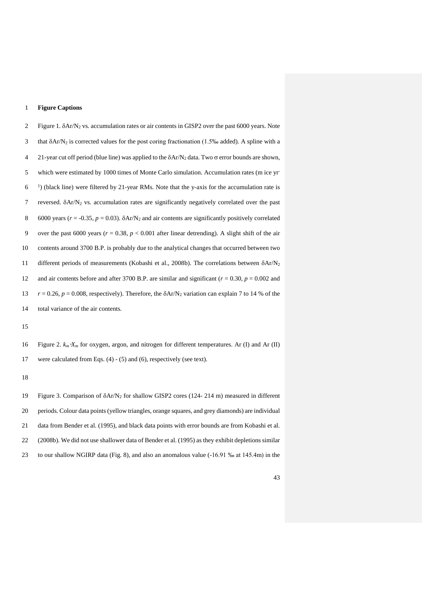### **Figure Captions**

2 Figure 1.  $\delta$ Ar/N<sub>2</sub> vs. accumulation rates or air contents in GISP2 over the past 6000 years. Note 3 that  $\delta$ Ar/N<sub>2</sub> is corrected values for the post coring fractionation (1.5‰ added). A spline with a 4 21-year cut off period (blue line) was applied to the  $\delta$ Ar/N<sub>2</sub> data. Two  $\sigma$  error bounds are shown, 5 which were estimated by 1000 times of Monte Carlo simulation. Accumulation rates (m ice yr-) (black line) were filtered by 21-year RMs. Note that the y-axis for the accumulation rate is 7 reversed.  $\delta$ Ar/N<sub>2</sub> vs. accumulation rates are significantly negatively correlated over the past 6000 years (*r* = -0.35, *p* = 0.03). Ar/N<sup>2</sup> and air contents are significantly positively correlated over the past 6000 years (*r* = 0.38, *p* < 0.001 after linear detrending). A slight shift of the air contents around 3700 B.P. is probably due to the analytical changes that occurred between two 11 different periods of measurements (Kobashi et al., 2008b). The correlations between  $\delta A r/N_2$ 12 and air contents before and after 3700 B.P. are similar and significant  $(r = 0.30, p = 0.002$  and 13  $r = 0.26$ ,  $p = 0.008$ , respectively). Therefore, the  $\delta A r/N_2$  variation can explain 7 to 14 % of the total variance of the air contents.

 Figure 2. *k<sup>m</sup>X<sup>m</sup>* for oxygen, argon, and nitrogen for different temperatures. Ar (I) and Ar (II) were calculated from Eqs. (4) - (5) and (6), respectively (see text).

 Figure 3. Comparison of Ar/N<sup>2</sup> for shallow GISP2 cores (124- 214 m) measured in different periods. Colour data points (yellow triangles, orange squares, and grey diamonds) are individual data from Bender et al. (1995), and black data points with error bounds are from Kobashi et al. (2008b). We did not use shallower data of Bender et al. (1995) as they exhibit depletions similar to our shallow NGIRP data (Fig. 8), and also an anomalous value (-16.91 ‰ at 145.4m) in the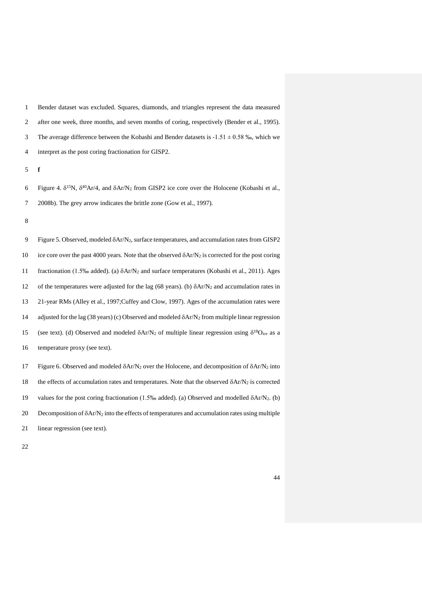Bender dataset was excluded. Squares, diamonds, and triangles represent the data measured after one week, three months, and seven months of coring, respectively (Bender et al., 1995). 3 The average difference between the Kobashi and Bender datasets is  $-1.51 \pm 0.58$  ‰, which we interpret as the post coring fractionation for GISP2.

5 **f**

6 Figure 4.  $\delta^{15}N$ ,  $\delta^{40}Ar/4$ , and  $\delta Ar/N_2$  from GISP2 ice core over the Holocene (Kobashi et al., 7 2008b). The grey arrow indicates the brittle zone (Gow et al., 1997).

8

9 Figure 5. Observed, modeled Ar/N2, surface temperatures, and accumulation rates from GISP2 10 ice core over the past 4000 years. Note that the observed  $\delta A r/N_2$  is corrected for the post coring 11 fractionation (1.5‰ added). (a) Ar/N<sup>2</sup> and surface temperatures (Kobashi et al., 2011). Ages 12 of the temperatures were adjusted for the lag (68 years). (b)  $\delta A r/N_2$  and accumulation rates in 13 21-year RMs (Alley et al., 1997;Cuffey and Clow, 1997). Ages of the accumulation rates were 14 adjusted for the lag (38 years) (c) Observed and modeled  $\delta$ Ar/N<sub>2</sub> from multiple linear regression 15 (see text). (d) Observed and modeled  $\delta$ Ar/N<sub>2</sub> of multiple linear regression using  $\delta^{18}$ O<sub>ice</sub> as a 16 temperature proxy (see text). 17 Figure 6. Observed and modeled  $\delta$ Ar/N<sub>2</sub> over the Holocene, and decomposition of  $\delta$ Ar/N<sub>2</sub> into

18 the effects of accumulation rates and temperatures. Note that the observed  $\delta A r/N_2$  is corrected 19 values for the post coring fractionation (1.5‰ added). (a) Observed and modelled  $\delta$ Ar/N<sub>2</sub>. (b) 20 Decomposition of  $\delta A r/N_2$  into the effects of temperatures and accumulation rates using multiple 21 linear regression (see text).

22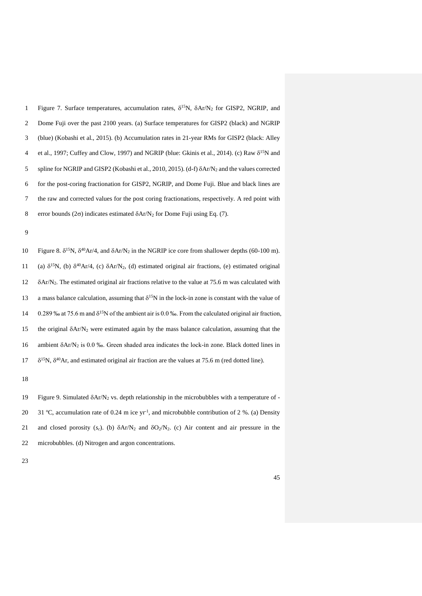1 Figure 7. Surface temperatures, accumulation rates,  $\delta^{15}N$ ,  $\delta Ar/N_2$  for GISP2, NGRIP, and 2 Dome Fuji over the past 2100 years. (a) Surface temperatures for GISP2 (black) and NGRIP 3 (blue) (Kobashi et al., 2015). (b) Accumulation rates in 21-year RMs for GISP2 (black: Alley 4 et al., 1997; Cuffey and Clow, 1997) and NGRIP (blue: Gkinis et al., 2014). (c) Raw  $\delta^{15}N$  and 5 spline for NGRIP and GISP2 (Kobashi et al., 2010, 2015). (d-f)  $\delta$ Ar/N<sub>2</sub> and the values corrected 6 for the post-coring fractionation for GISP2, NGRIP, and Dome Fuji. Blue and black lines are 7 the raw and corrected values for the post coring fractionations, respectively. A red point with 8 error bounds ( $2\sigma$ ) indicates estimated  $\delta$ Ar/N<sub>2</sub> for Dome Fuji using Eq. (7).

9

10 Figure 8.  $\delta^{15}N$ ,  $\delta^{40}Ar/4$ , and  $\delta Ar/N_2$  in the NGRIP ice core from shallower depths (60-100 m). 11 (a)  $\delta^{15}N$ , (b)  $\delta^{40}Ar/4$ , (c)  $\delta Ar/N_2$ , (d) estimated original air fractions, (e) estimated original  $12 \quad \delta$ Ar/N<sub>2</sub>. The estimated original air fractions relative to the value at 75.6 m was calculated with a mass balance calculation, assuming that  $\delta^{15}N$  in the lock-in zone is constant with the value of 0.289 ‰ at 75.6 m and  $\delta^{15}N$  of the ambient air is 0.0 ‰. From the calculated original air fraction, 15 the original  $\delta A r/N_2$  were estimated again by the mass balance calculation, assuming that the 16 ambient  $\delta A r/N_2$  is 0.0 ‰. Green shaded area indicates the lock-in zone. Black dotted lines in  $17\delta^{15}N$ ,  $\delta^{40}Ar$ , and estimated original air fraction are the values at 75.6 m (red dotted line).

18

19 Figure 9. Simulated  $\delta$ Ar/N<sub>2</sub> vs. depth relationship in the microbubbles with a temperature of -20 31 °C, accumulation rate of 0.24 m ice yr<sup>-1</sup>, and microbubble contribution of 2 %. (a) Density 21 and closed porosity  $(s_c)$ . (b)  $\delta A r/N_2$  and  $\delta O_2/N_2$ . (c) Air content and air pressure in the 22 microbubbles. (d) Nitrogen and argon concentrations.

23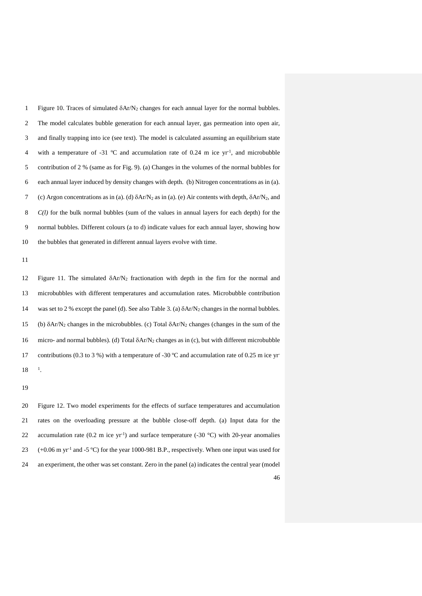1 Figure 10. Traces of simulated  $\delta A r/N_2$  changes for each annual layer for the normal bubbles. The model calculates bubble generation for each annual layer, gas permeation into open air, and finally trapping into ice (see text). The model is calculated assuming an equilibrium state 4 with a temperature of -31  $^{\circ}$ C and accumulation rate of 0.24 m ice yr<sup>-1</sup>, and microbubble contribution of 2 % (same as for Fig. 9). (a) Changes in the volumes of the normal bubbles for each annual layer induced by density changes with depth. (b) Nitrogen concentrations as in (a). 7 (c) Argon concentrations as in (a). (d)  $\delta$ Ar/N<sub>2</sub> as in (a). (e) Air contents with depth,  $\delta$ Ar/N<sub>2</sub>, and *C(l)* for the bulk normal bubbles (sum of the values in annual layers for each depth) for the normal bubbles. Different colours (a to d) indicate values for each annual layer, showing how the bubbles that generated in different annual layers evolve with time.

11

12 Figure 11. The simulated  $\delta A r/N_2$  fractionation with depth in the firn for the normal and 13 microbubbles with different temperatures and accumulation rates. Microbubble contribution 14 was set to 2 % except the panel (d). See also Table 3. (a)  $\delta$ Ar/N<sub>2</sub> changes in the normal bubbles. 15 (b)  $\delta$ Ar/N<sub>2</sub> changes in the microbubbles. (c) Total  $\delta$ Ar/N<sub>2</sub> changes (changes in the sum of the 16 micro- and normal bubbles). (d) Total  $\delta A r/N_2$  changes as in (c), but with different microbubble 17 contributions (0.3 to 3 %) with a temperature of -30  $^{\circ}$ C and accumulation rate of 0.25 m ice yr- $18 - 1$ .

19

46 20 Figure 12. Two model experiments for the effects of surface temperatures and accumulation 21 rates on the overloading pressure at the bubble close-off depth. (a) Input data for the 22 accumulation rate (0.2 m ice yr<sup>-1</sup>) and surface temperature (-30 °C) with 20-year anomalies  $(+0.06 \text{ m yr}^{-1}$  and -5 °C) for the year 1000-981 B.P., respectively. When one input was used for 24 an experiment, the other was set constant. Zero in the panel (a) indicates the central year (model